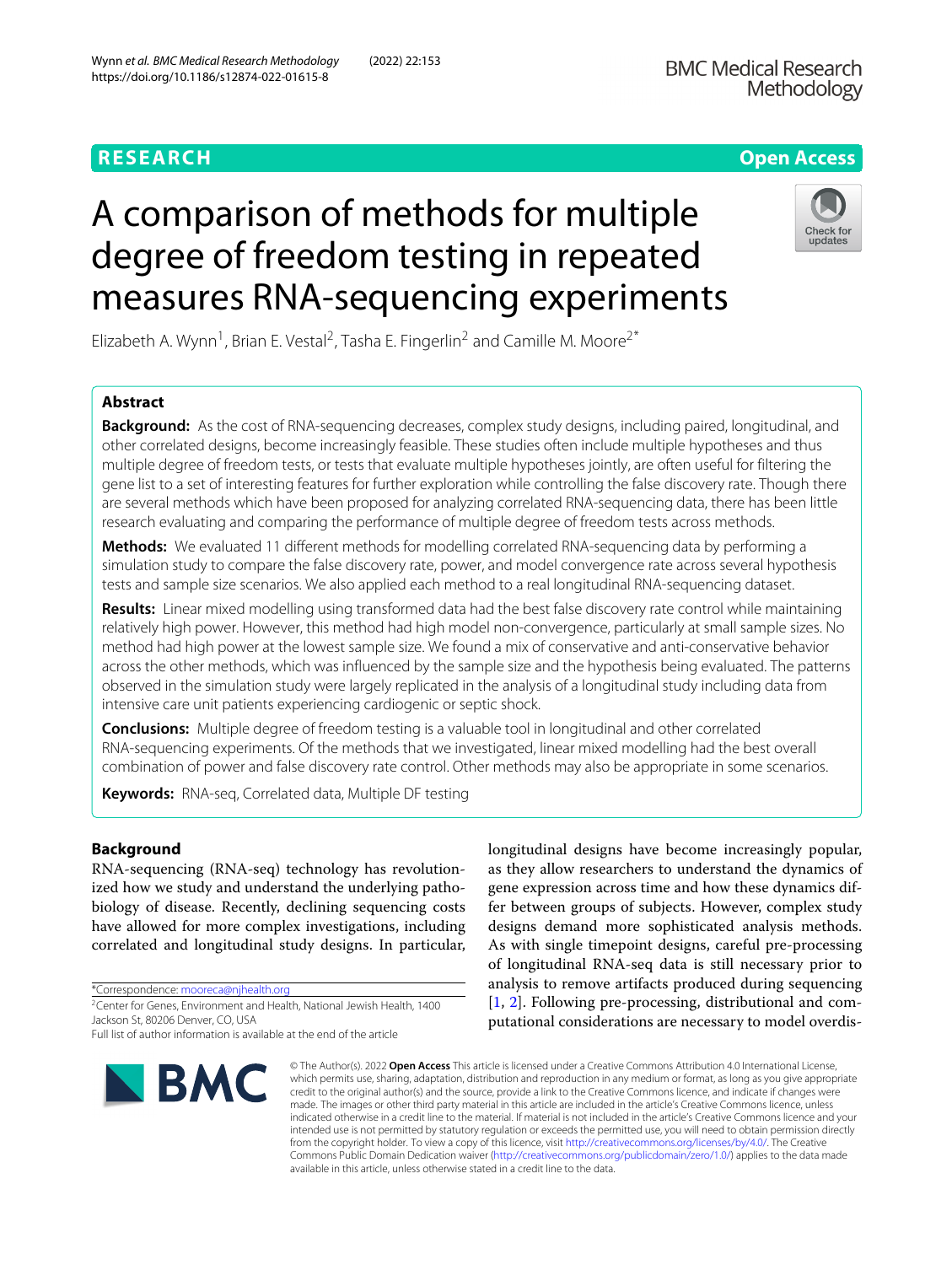https://doi.org/10.1186/s12874-022-01615-8



Elizabeth A. Wynn<sup>1</sup>, Brian E. Vestal<sup>2</sup>, Tasha E. Fingerlin<sup>2</sup> and Camille M. Moore<sup>2\*</sup>

# **Abstract**

**Background:** As the cost of RNA-sequencing decreases, complex study designs, including paired, longitudinal, and other correlated designs, become increasingly feasible. These studies often include multiple hypotheses and thus multiple degree of freedom tests, or tests that evaluate multiple hypotheses jointly, are often useful for filtering the gene list to a set of interesting features for further exploration while controlling the false discovery rate. Though there are several methods which have been proposed for analyzing correlated RNA-sequencing data, there has been little research evaluating and comparing the performance of multiple degree of freedom tests across methods.

**Methods:** We evaluated 11 different methods for modelling correlated RNA-sequencing data by performing a simulation study to compare the false discovery rate, power, and model convergence rate across several hypothesis tests and sample size scenarios. We also applied each method to a real longitudinal RNA-sequencing dataset.

**Results:** Linear mixed modelling using transformed data had the best false discovery rate control while maintaining relatively high power. However, this method had high model non-convergence, particularly at small sample sizes. No method had high power at the lowest sample size. We found a mix of conservative and anti-conservative behavior across the other methods, which was influenced by the sample size and the hypothesis being evaluated. The patterns observed in the simulation study were largely replicated in the analysis of a longitudinal study including data from intensive care unit patients experiencing cardiogenic or septic shock.

**Conclusions:** Multiple degree of freedom testing is a valuable tool in longitudinal and other correlated RNA-sequencing experiments. Of the methods that we investigated, linear mixed modelling had the best overall combination of power and false discovery rate control. Other methods may also be appropriate in some scenarios.

**Keywords:** RNA-seq, Correlated data, Multiple DF testing

# **Background**

RNA-sequencing (RNA-seq) technology has revolutionized how we study and understand the underlying pathobiology of disease. Recently, declining sequencing costs have allowed for more complex investigations, including correlated and longitudinal study designs. In particular,

\*Correspondence: [mooreca@njhealth.org](mailto: mooreca@njhealth.org)

Full list of author information is available at the end of the article



longitudinal designs have become increasingly popular, as they allow researchers to understand the dynamics of gene expression across time and how these dynamics differ between groups of subjects. However, complex study designs demand more sophisticated analysis methods. As with single timepoint designs, careful pre-processing of longitudinal RNA-seq data is still necessary prior to analysis to remove artifacts produced during sequencing [\[1,](#page-15-0) [2\]](#page-15-1). Following pre-processing, distributional and computational considerations are necessary to model overdis-

© The Author(s). 2022 **Open Access** This article is licensed under a Creative Commons Attribution 4.0 International License, which permits use, sharing, adaptation, distribution and reproduction in any medium or format, as long as you give appropriate credit to the original author(s) and the source, provide a link to the Creative Commons licence, and indicate if changes were made. The images or other third party material in this article are included in the article's Creative Commons licence, unless indicated otherwise in a credit line to the material. If material is not included in the article's Creative Commons licence and your intended use is not permitted by statutory regulation or exceeds the permitted use, you will need to obtain permission directly from the copyright holder. To view a copy of this licence, visit [http://creativecommons.org/licenses/by/4.0/.](http://creativecommons.org/licenses/by/4.0/) The Creative Commons Public Domain Dedication waiver [\(http://creativecommons.org/publicdomain/zero/1.0/\)](http://creativecommons.org/publicdomain/zero/1.0/) applies to the data made available in this article, unless otherwise stated in a credit line to the data.

Wynn *et al. BMC Medical Research Methodology* (2022) 22:153

measures RNA-sequencing experiments

<sup>2</sup>Center for Genes, Environment and Health, National Jewish Health, 1400 Jackson St, 80206 Denver, CO, USA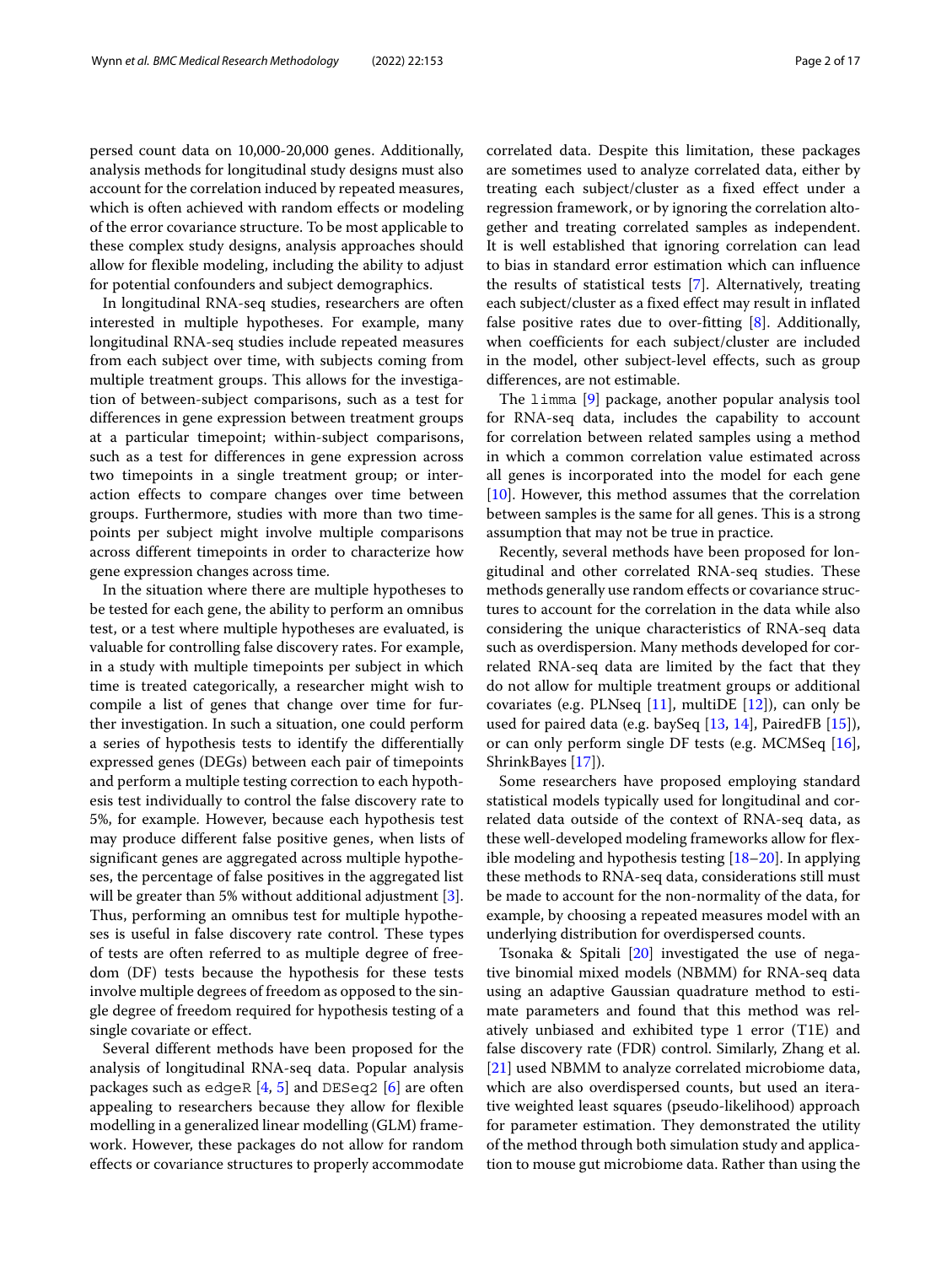persed count data on 10,000-20,000 genes. Additionally, analysis methods for longitudinal study designs must also account for the correlation induced by repeated measures, which is often achieved with random effects or modeling of the error covariance structure. To be most applicable to these complex study designs, analysis approaches should allow for flexible modeling, including the ability to adjust for potential confounders and subject demographics.

In longitudinal RNA-seq studies, researchers are often interested in multiple hypotheses. For example, many longitudinal RNA-seq studies include repeated measures from each subject over time, with subjects coming from multiple treatment groups. This allows for the investigation of between-subject comparisons, such as a test for differences in gene expression between treatment groups at a particular timepoint; within-subject comparisons, such as a test for differences in gene expression across two timepoints in a single treatment group; or interaction effects to compare changes over time between groups. Furthermore, studies with more than two timepoints per subject might involve multiple comparisons across different timepoints in order to characterize how gene expression changes across time.

In the situation where there are multiple hypotheses to be tested for each gene, the ability to perform an omnibus test, or a test where multiple hypotheses are evaluated, is valuable for controlling false discovery rates. For example, in a study with multiple timepoints per subject in which time is treated categorically, a researcher might wish to compile a list of genes that change over time for further investigation. In such a situation, one could perform a series of hypothesis tests to identify the differentially expressed genes (DEGs) between each pair of timepoints and perform a multiple testing correction to each hypothesis test individually to control the false discovery rate to 5%, for example. However, because each hypothesis test may produce different false positive genes, when lists of significant genes are aggregated across multiple hypotheses, the percentage of false positives in the aggregated list will be greater than 5% without additional adjustment [\[3\]](#page-15-2). Thus, performing an omnibus test for multiple hypotheses is useful in false discovery rate control. These types of tests are often referred to as multiple degree of freedom (DF) tests because the hypothesis for these tests involve multiple degrees of freedom as opposed to the single degree of freedom required for hypothesis testing of a single covariate or effect.

Several different methods have been proposed for the analysis of longitudinal RNA-seq data. Popular analysis packages such as edgeR  $[4, 5]$  $[4, 5]$  $[4, 5]$  and DESeq2  $[6]$  are often appealing to researchers because they allow for flexible modelling in a generalized linear modelling (GLM) framework. However, these packages do not allow for random effects or covariance structures to properly accommodate

correlated data. Despite this limitation, these packages are sometimes used to analyze correlated data, either by treating each subject/cluster as a fixed effect under a regression framework, or by ignoring the correlation altogether and treating correlated samples as independent. It is well established that ignoring correlation can lead to bias in standard error estimation which can influence the results of statistical tests [\[7\]](#page-15-6). Alternatively, treating each subject/cluster as a fixed effect may result in inflated false positive rates due to over-fitting [\[8\]](#page-15-7). Additionally, when coefficients for each subject/cluster are included in the model, other subject-level effects, such as group differences, are not estimable.

The limma [\[9\]](#page-15-8) package, another popular analysis tool for RNA-seq data, includes the capability to account for correlation between related samples using a method in which a common correlation value estimated across all genes is incorporated into the model for each gene [\[10\]](#page-15-9). However, this method assumes that the correlation between samples is the same for all genes. This is a strong assumption that may not be true in practice.

Recently, several methods have been proposed for longitudinal and other correlated RNA-seq studies. These methods generally use random effects or covariance structures to account for the correlation in the data while also considering the unique characteristics of RNA-seq data such as overdispersion. Many methods developed for correlated RNA-seq data are limited by the fact that they do not allow for multiple treatment groups or additional covariates (e.g. PLNseq  $[11]$ , multiDE  $[12]$ ), can only be used for paired data (e.g. baySeq [\[13,](#page-15-12) [14\]](#page-15-13), PairedFB [\[15\]](#page-15-14)), or can only perform single DF tests (e.g. MCMSeq [\[16\]](#page-15-15), ShrinkBayes [\[17\]](#page-15-16)).

Some researchers have proposed employing standard statistical models typically used for longitudinal and correlated data outside of the context of RNA-seq data, as these well-developed modeling frameworks allow for flexible modeling and hypothesis testing  $[18–20]$  $[18–20]$ . In applying these methods to RNA-seq data, considerations still must be made to account for the non-normality of the data, for example, by choosing a repeated measures model with an underlying distribution for overdispersed counts.

Tsonaka & Spitali [\[20\]](#page-15-18) investigated the use of negative binomial mixed models (NBMM) for RNA-seq data using an adaptive Gaussian quadrature method to estimate parameters and found that this method was relatively unbiased and exhibited type 1 error (T1E) and false discovery rate (FDR) control. Similarly, Zhang et al. [\[21\]](#page-15-19) used NBMM to analyze correlated microbiome data, which are also overdispersed counts, but used an iterative weighted least squares (pseudo-likelihood) approach for parameter estimation. They demonstrated the utility of the method through both simulation study and application to mouse gut microbiome data. Rather than using the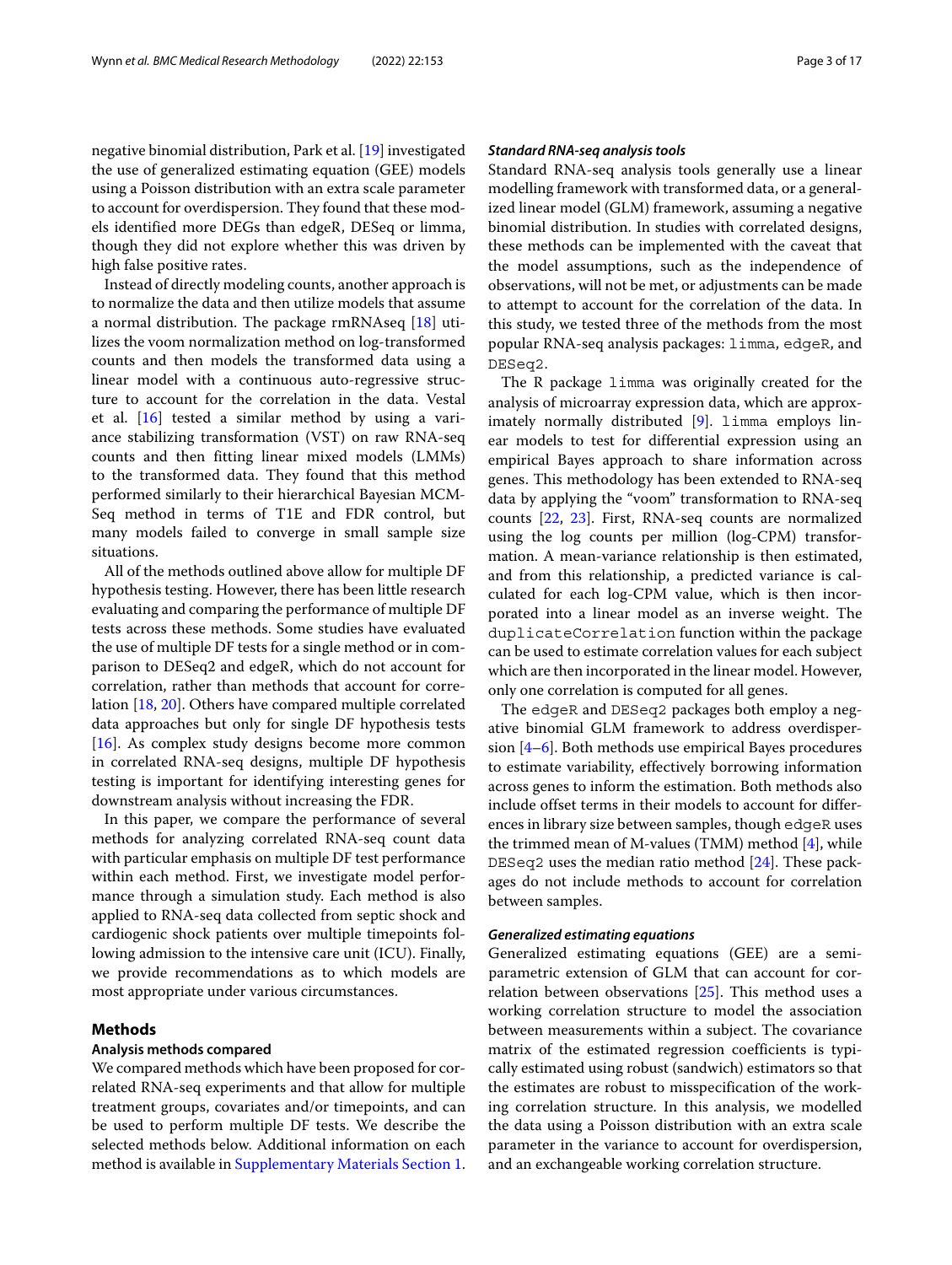negative binomial distribution, Park et al. [\[19\]](#page-15-20) investigated the use of generalized estimating equation (GEE) models using a Poisson distribution with an extra scale parameter to account for overdispersion. They found that these models identified more DEGs than edgeR, DESeq or limma, though they did not explore whether this was driven by high false positive rates.

Instead of directly modeling counts, another approach is to normalize the data and then utilize models that assume a normal distribution. The package rmRNAseq [\[18\]](#page-15-17) utilizes the voom normalization method on log-transformed counts and then models the transformed data using a linear model with a continuous auto-regressive structure to account for the correlation in the data. Vestal et al. [\[16\]](#page-15-15) tested a similar method by using a variance stabilizing transformation (VST) on raw RNA-seq counts and then fitting linear mixed models (LMMs) to the transformed data. They found that this method performed similarly to their hierarchical Bayesian MCM-Seq method in terms of T1E and FDR control, but many models failed to converge in small sample size situations.

All of the methods outlined above allow for multiple DF hypothesis testing. However, there has been little research evaluating and comparing the performance of multiple DF tests across these methods. Some studies have evaluated the use of multiple DF tests for a single method or in comparison to DESeq2 and edgeR, which do not account for correlation, rather than methods that account for correlation [\[18,](#page-15-17) [20\]](#page-15-18). Others have compared multiple correlated data approaches but only for single DF hypothesis tests [\[16\]](#page-15-15). As complex study designs become more common in correlated RNA-seq designs, multiple DF hypothesis testing is important for identifying interesting genes for downstream analysis without increasing the FDR.

In this paper, we compare the performance of several methods for analyzing correlated RNA-seq count data with particular emphasis on multiple DF test performance within each method. First, we investigate model performance through a simulation study. Each method is also applied to RNA-seq data collected from septic shock and cardiogenic shock patients over multiple timepoints following admission to the intensive care unit (ICU). Finally, we provide recommendations as to which models are most appropriate under various circumstances.

# **Methods**

#### **Analysis methods compared**

We compared methods which have been proposed for correlated RNA-seq experiments and that allow for multiple treatment groups, covariates and/or timepoints, and can be used to perform multiple DF tests. We describe the selected methods below. Additional information on each method is available in [Supplementary Materials Section 1.](#page-14-0)

## *Standard RNA-seq analysis tools*

Standard RNA-seq analysis tools generally use a linear modelling framework with transformed data, or a generalized linear model (GLM) framework, assuming a negative binomial distribution. In studies with correlated designs, these methods can be implemented with the caveat that the model assumptions, such as the independence of observations, will not be met, or adjustments can be made to attempt to account for the correlation of the data. In this study, we tested three of the methods from the most popular RNA-seq analysis packages: limma, edgeR, and DESeq2.

The R package limma was originally created for the analysis of microarray expression data, which are approximately normally distributed [\[9\]](#page-15-8). limma employs linear models to test for differential expression using an empirical Bayes approach to share information across genes. This methodology has been extended to RNA-seq data by applying the "voom" transformation to RNA-seq counts [\[22,](#page-15-21) [23\]](#page-15-22). First, RNA-seq counts are normalized using the log counts per million (log-CPM) transformation. A mean-variance relationship is then estimated, and from this relationship, a predicted variance is calculated for each log-CPM value, which is then incorporated into a linear model as an inverse weight. The duplicateCorrelation function within the package can be used to estimate correlation values for each subject which are then incorporated in the linear model. However, only one correlation is computed for all genes.

The edgeR and DESeq2 packages both employ a negative binomial GLM framework to address overdispersion [\[4–](#page-15-3)[6\]](#page-15-5). Both methods use empirical Bayes procedures to estimate variability, effectively borrowing information across genes to inform the estimation. Both methods also include offset terms in their models to account for differences in library size between samples, though edgeR uses the trimmed mean of M-values (TMM) method [\[4\]](#page-15-3), while DESeq2 uses the median ratio method [\[24\]](#page-15-23). These packages do not include methods to account for correlation between samples.

## *Generalized estimating equations*

Generalized estimating equations (GEE) are a semiparametric extension of GLM that can account for correlation between observations [\[25\]](#page-15-24). This method uses a working correlation structure to model the association between measurements within a subject. The covariance matrix of the estimated regression coefficients is typically estimated using robust (sandwich) estimators so that the estimates are robust to misspecification of the working correlation structure. In this analysis, we modelled the data using a Poisson distribution with an extra scale parameter in the variance to account for overdispersion, and an exchangeable working correlation structure.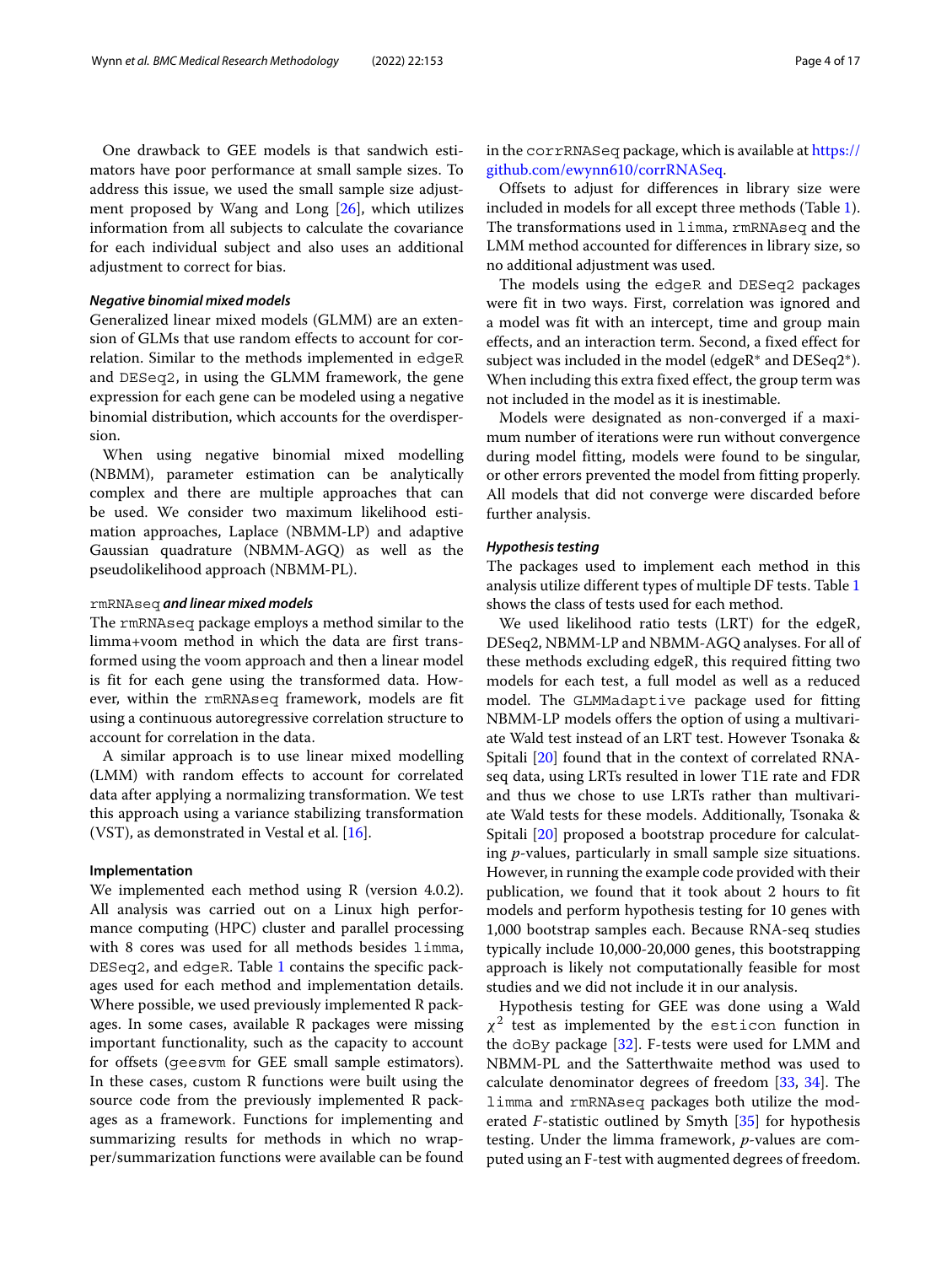One drawback to GEE models is that sandwich estimators have poor performance at small sample sizes. To address this issue, we used the small sample size adjustment proposed by Wang and Long [\[26\]](#page-15-25), which utilizes information from all subjects to calculate the covariance for each individual subject and also uses an additional adjustment to correct for bias.

#### *Negative binomial mixed models*

Generalized linear mixed models (GLMM) are an extension of GLMs that use random effects to account for correlation. Similar to the methods implemented in edgeR and DESeq2, in using the GLMM framework, the gene expression for each gene can be modeled using a negative binomial distribution, which accounts for the overdispersion.

When using negative binomial mixed modelling (NBMM), parameter estimation can be analytically complex and there are multiple approaches that can be used. We consider two maximum likelihood estimation approaches, Laplace (NBMM-LP) and adaptive Gaussian quadrature (NBMM-AGQ) as well as the pseudolikelihood approach (NBMM-PL).

#### rmRNAseq *and linear mixed models*

The rmRNAseq package employs a method similar to the limma+voom method in which the data are first transformed using the voom approach and then a linear model is fit for each gene using the transformed data. However, within the rmRNAseq framework, models are fit using a continuous autoregressive correlation structure to account for correlation in the data.

A similar approach is to use linear mixed modelling (LMM) with random effects to account for correlated data after applying a normalizing transformation. We test this approach using a variance stabilizing transformation  $(VST)$ , as demonstrated in Vestal et al. [\[16\]](#page-15-15).

#### **Implementation**

We implemented each method using R (version 4.0.2). All analysis was carried out on a Linux high performance computing (HPC) cluster and parallel processing with 8 cores was used for all methods besides limma, DESeq2, and edgeR. Table [1](#page-4-0) contains the specific packages used for each method and implementation details. Where possible, we used previously implemented R packages. In some cases, available R packages were missing important functionality, such as the capacity to account for offsets (geesvm for GEE small sample estimators). In these cases, custom R functions were built using the source code from the previously implemented R packages as a framework. Functions for implementing and summarizing results for methods in which no wrapper/summarization functions were available can be found

in the corrRNASeq package, which is available at [https://](https://github.com/ewynn610/corrRNASeq) [github.com/ewynn610/corrRNASeq.](https://github.com/ewynn610/corrRNASeq)

Offsets to adjust for differences in library size were included in models for all except three methods (Table [1\)](#page-4-0). The transformations used in limma, rmRNAseq and the LMM method accounted for differences in library size, so no additional adjustment was used.

The models using the edgeR and DESeq2 packages were fit in two ways. First, correlation was ignored and a model was fit with an intercept, time and group main effects, and an interaction term. Second, a fixed effect for subject was included in the model (edgeR∗ and DESeq2∗). When including this extra fixed effect, the group term was not included in the model as it is inestimable.

Models were designated as non-converged if a maximum number of iterations were run without convergence during model fitting, models were found to be singular, or other errors prevented the model from fitting properly. All models that did not converge were discarded before further analysis.

## *Hypothesis testing*

The packages used to implement each method in this analysis utilize different types of multiple DF tests. Table [1](#page-4-0) shows the class of tests used for each method.

We used likelihood ratio tests (LRT) for the edgeR, DESeq2, NBMM-LP and NBMM-AGQ analyses. For all of these methods excluding edgeR, this required fitting two models for each test, a full model as well as a reduced model. The GLMMadaptive package used for fitting NBMM-LP models offers the option of using a multivariate Wald test instead of an LRT test. However Tsonaka & Spitali [\[20\]](#page-15-18) found that in the context of correlated RNAseq data, using LRTs resulted in lower T1E rate and FDR and thus we chose to use LRTs rather than multivariate Wald tests for these models. Additionally, Tsonaka & Spitali [\[20\]](#page-15-18) proposed a bootstrap procedure for calculating *p*-values, particularly in small sample size situations. However, in running the example code provided with their publication, we found that it took about 2 hours to fit models and perform hypothesis testing for 10 genes with 1,000 bootstrap samples each. Because RNA-seq studies typically include 10,000-20,000 genes, this bootstrapping approach is likely not computationally feasible for most studies and we did not include it in our analysis.

Hypothesis testing for GEE was done using a Wald  $\chi^2$  test as implemented by the esticon function in the doBy package [\[32\]](#page-16-0). F-tests were used for LMM and NBMM-PL and the Satterthwaite method was used to calculate denominator degrees of freedom [\[33,](#page-16-1) [34\]](#page-16-2). The limma and rmRNAseq packages both utilize the moderated *F*-statistic outlined by Smyth [\[35\]](#page-16-3) for hypothesis testing. Under the limma framework, *p*-values are computed using an F-test with augmented degrees of freedom.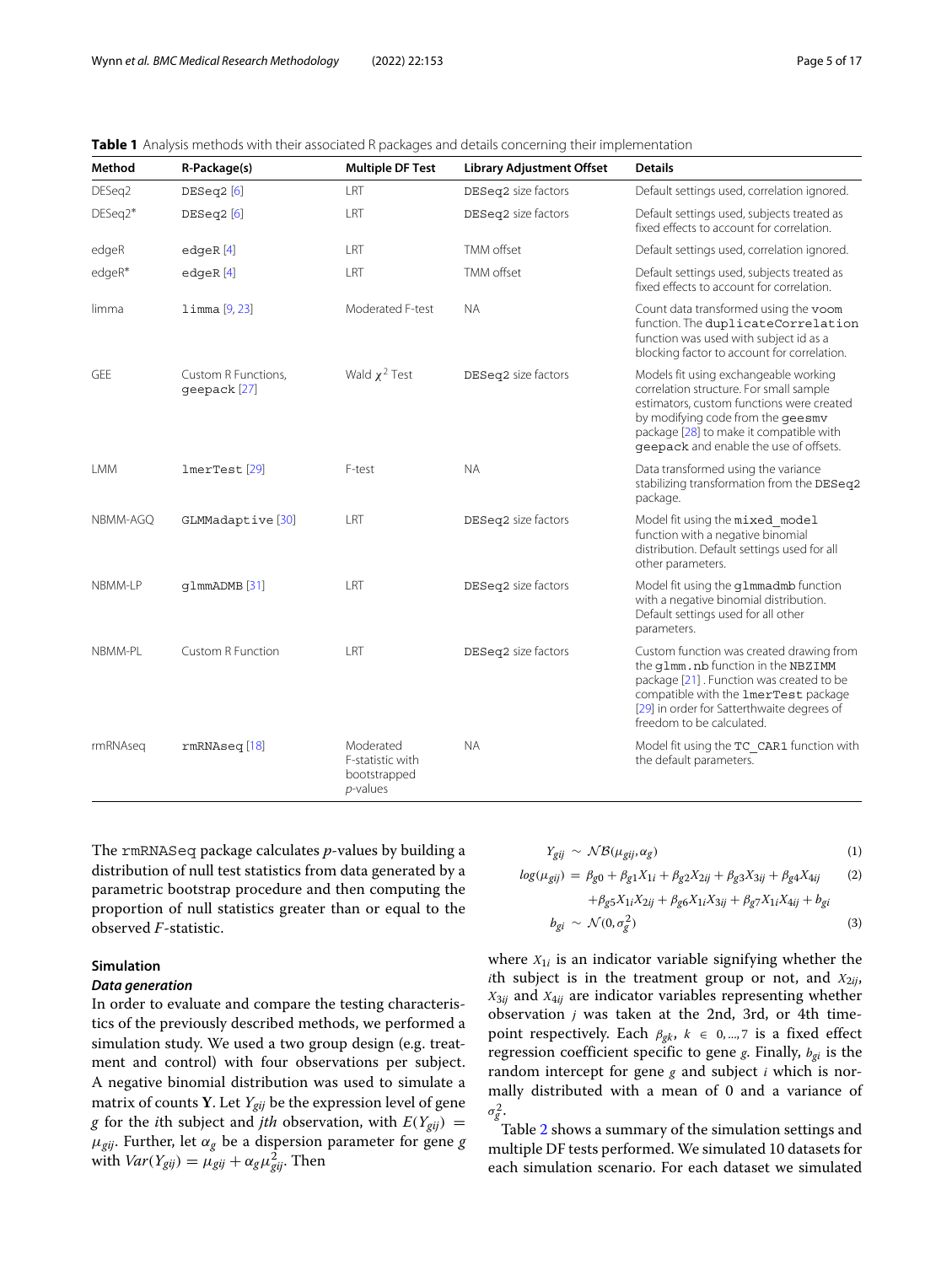| Method     | R-Package(s)                        | <b>Multiple DF Test</b>                                      | <b>Library Adjustment Offset</b> | <b>Details</b>                                                                                                                                                                                                                                          |
|------------|-------------------------------------|--------------------------------------------------------------|----------------------------------|---------------------------------------------------------------------------------------------------------------------------------------------------------------------------------------------------------------------------------------------------------|
| DESeg2     | DESeq2[6]                           | LRT                                                          | DESeq2 size factors              | Default settings used, correlation ignored.                                                                                                                                                                                                             |
| DESeq2*    | DESeq2[6]                           | LRT                                                          | DESeq2 size factors              | Default settings used, subjects treated as<br>fixed effects to account for correlation.                                                                                                                                                                 |
| edgeR      | $edq$ eR $[4]$                      | LRT                                                          | TMM offset                       | Default settings used, correlation ignored.                                                                                                                                                                                                             |
| edgeR*     | $edq$ eR $[4]$                      | LRT                                                          | <b>TMM</b> offset                | Default settings used, subjects treated as<br>fixed effects to account for correlation.                                                                                                                                                                 |
| limma      | limma [9, 23]                       | Moderated F-test                                             | <b>NA</b>                        | Count data transformed using the voom<br>function. The duplicateCorrelation<br>function was used with subject id as a<br>blocking factor to account for correlation.                                                                                    |
| <b>GEE</b> | Custom R Functions,<br>qeepack [27] | Wald $\chi^2$ Test                                           | DESeq2 size factors              | Models fit using exchangeable working<br>correlation structure. For small sample<br>estimators, custom functions were created<br>by modifying code from the geesmy<br>package [28] to make it compatible with<br>geepack and enable the use of offsets. |
| <b>LMM</b> | lmerTest[29]                        | F-test                                                       | <b>NA</b>                        | Data transformed using the variance<br>stabilizing transformation from the DESeq2<br>package.                                                                                                                                                           |
| NBMM-AGO   | GLMMadaptive [30]                   | LRT                                                          | DESeq2 size factors              | Model fit using the mixed model<br>function with a negative binomial<br>distribution. Default settings used for all<br>other parameters.                                                                                                                |
| NBMM-LP    | q1mmADMB [31]                       | LRT                                                          | DESeq2 size factors              | Model fit using the q1mmadmb function<br>with a negative binomial distribution.<br>Default settings used for all other<br>parameters.                                                                                                                   |
| NBMM-PL    | <b>Custom R Function</b>            | LRT                                                          | DESeq2 size factors              | Custom function was created drawing from<br>the qlmm.nb function in the NBZIMM<br>package [21]. Function was created to be<br>compatible with the 1merTest package<br>[29] in order for Satterthwaite degrees of<br>freedom to be calculated.           |
| rmRNAseg   | rmRNAseq[18]                        | Moderated<br>F-statistic with<br>bootstrapped<br>$p$ -values | <b>NA</b>                        | Model fit using the TC CAR1 function with<br>the default parameters.                                                                                                                                                                                    |

<span id="page-4-0"></span>**Table 1** Analysis methods with their associated R packages and details concerning their implementation

The rmRNASeq package calculates *p*-values by building a distribution of null test statistics from data generated by a parametric bootstrap procedure and then computing the proportion of null statistics greater than or equal to the observed *F*-statistic.

# **Simulation**

#### *Data generation*

In order to evaluate and compare the testing characteristics of the previously described methods, we performed a simulation study. We used a two group design (e.g. treatment and control) with four observations per subject. A negative binomial distribution was used to simulate a matrix of counts **Y**. Let  $Y_{gij}$  be the expression level of gene *g* for the *i*th subject and *jth* observation, with  $E(Y_{gij}) =$  $\mu_{gij}$ . Further, let  $\alpha_g$  be a dispersion parameter for gene *g* with  $Var(Y_{gij}) = \mu_{gij} + \alpha_g \mu_{gij}^2$ . Then

$$
Y_{gij} \sim \mathcal{NB}(\mu_{gij}, \alpha_g) \tag{1}
$$

$$
log(\mu_{gij}) = \beta_{g0} + \beta_{g1}X_{1i} + \beta_{g2}X_{2ij} + \beta_{g3}X_{3ij} + \beta_{g4}X_{4ij}
$$
 (2)

$$
+\beta_{g5}X_{1i}X_{2ij}+\beta_{g6}X_{1i}X_{3ij}+\beta_{g7}X_{1i}X_{4ij}+b_{gi}
$$
  

$$
b_{gi}\sim \mathcal{N}(0,\sigma_g^2) \tag{3}
$$

where  $X_{1i}$  is an indicator variable signifying whether the *i*th subject is in the treatment group or not, and  $X_{2ij}$ , *X*3*ij* and *X*4*ij* are indicator variables representing whether observation *j* was taken at the 2nd, 3rd, or 4th timepoint respectively. Each  $\beta_{gk}$ ,  $k \in 0, ..., 7$  is a fixed effect regression coefficient specific to gene *g*. Finally, *bgi* is the random intercept for gene *g* and subject *i* which is normally distributed with a mean of 0 and a variance of  $\sigma_g^2$ .

Table [2](#page-5-0) shows a summary of the simulation settings and multiple DF tests performed. We simulated 10 datasets for each simulation scenario. For each dataset we simulated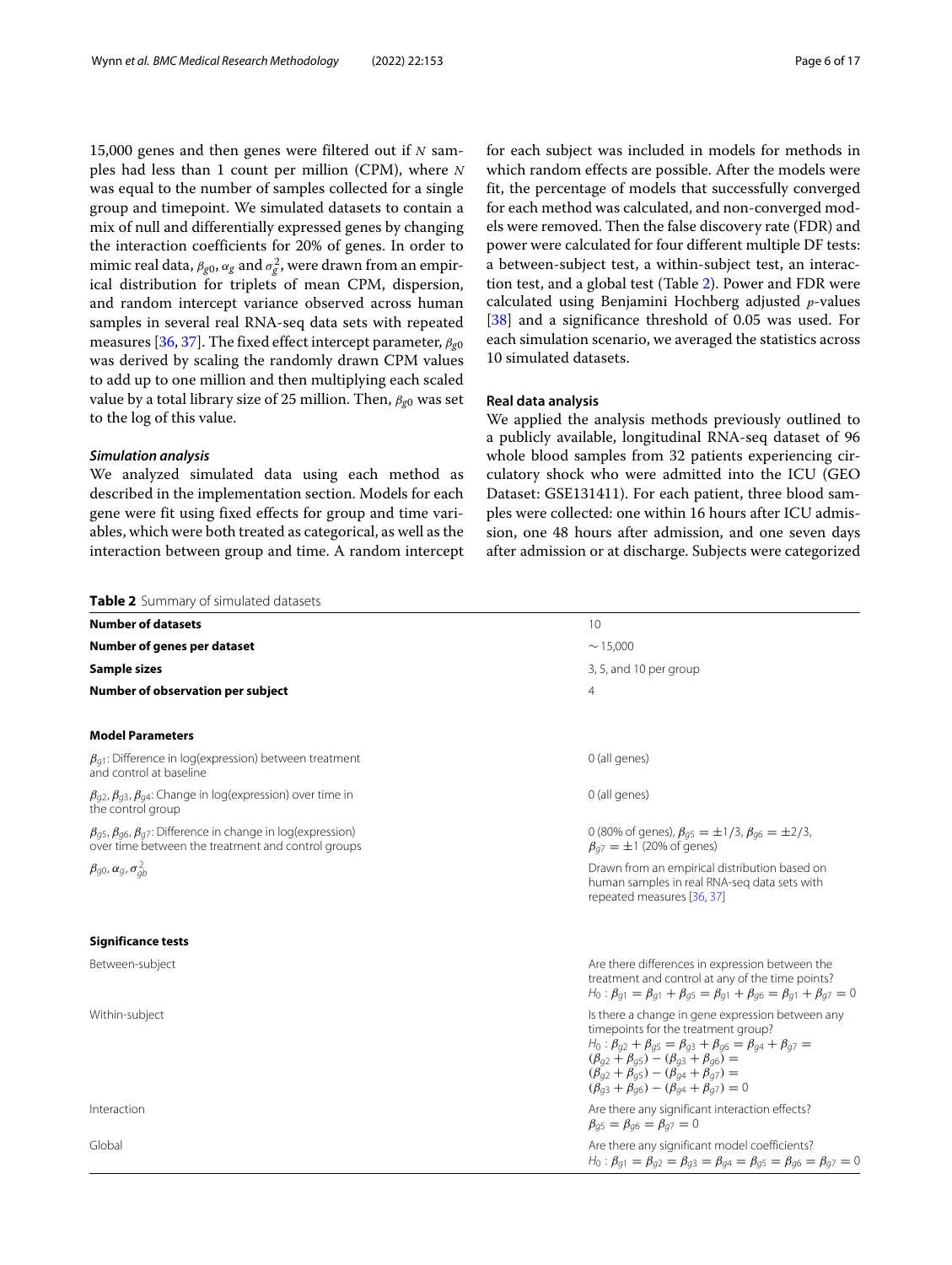15,000 genes and then genes were filtered out if *N* samples had less than 1 count per million (CPM), where *N* was equal to the number of samples collected for a single group and timepoint. We simulated datasets to contain a mix of null and differentially expressed genes by changing the interaction coefficients for 20% of genes. In order to mimic real data,  $\beta_{g0}, \alpha_g$  and  $\sigma_g^2$ , were drawn from an empirical distribution for triplets of mean CPM, dispersion, and random intercept variance observed across human samples in several real RNA-seq data sets with repeated measures [\[36,](#page-16-7) [37\]](#page-16-8). The fixed effect intercept parameter, β*g*<sup>0</sup> was derived by scaling the randomly drawn CPM values to add up to one million and then multiplying each scaled value by a total library size of 25 million. Then, β*g*<sup>0</sup> was set to the log of this value.

## *Simulation analysis*

We analyzed simulated data using each method as described in the implementation section. Models for each gene were fit using fixed effects for group and time variables, which were both treated as categorical, as well as the interaction between group and time. A random intercept

for each subject was included in models for methods in which random effects are possible. After the models were fit, the percentage of models that successfully converged for each method was calculated, and non-converged models were removed. Then the false discovery rate (FDR) and power were calculated for four different multiple DF tests: a between-subject test, a within-subject test, an interaction test, and a global test (Table [2\)](#page-5-0). Power and FDR were calculated using Benjamini Hochberg adjusted *p*-values [\[38\]](#page-16-9) and a significance threshold of 0.05 was used. For each simulation scenario, we averaged the statistics across 10 simulated datasets.

# **Real data analysis**

We applied the analysis methods previously outlined to a publicly available, longitudinal RNA-seq dataset of 96 whole blood samples from 32 patients experiencing circulatory shock who were admitted into the ICU (GEO Dataset: GSE131411). For each patient, three blood samples were collected: one within 16 hours after ICU admission, one 48 hours after admission, and one seven days after admission or at discharge. Subjects were categorized

<span id="page-5-0"></span>

| Table 2 Summary of simulated datasets                                                                                                      |                                                                                                                                                                                                                                                                                                                                                                          |
|--------------------------------------------------------------------------------------------------------------------------------------------|--------------------------------------------------------------------------------------------------------------------------------------------------------------------------------------------------------------------------------------------------------------------------------------------------------------------------------------------------------------------------|
| <b>Number of datasets</b>                                                                                                                  | 10                                                                                                                                                                                                                                                                                                                                                                       |
| Number of genes per dataset                                                                                                                | $\sim$ 15.000                                                                                                                                                                                                                                                                                                                                                            |
| Sample sizes                                                                                                                               | 3, 5, and 10 per group                                                                                                                                                                                                                                                                                                                                                   |
| Number of observation per subject                                                                                                          | $\overline{4}$                                                                                                                                                                                                                                                                                                                                                           |
| <b>Model Parameters</b>                                                                                                                    |                                                                                                                                                                                                                                                                                                                                                                          |
| $\beta_{q1}$ : Difference in log(expression) between treatment<br>and control at baseline                                                  | 0 (all genes)                                                                                                                                                                                                                                                                                                                                                            |
| $\beta_{q2}$ , $\beta_{q3}$ , $\beta_{q4}$ : Change in log(expression) over time in<br>the control group                                   | 0 (all genes)                                                                                                                                                                                                                                                                                                                                                            |
| $\beta_{q5}$ , $\beta_{q6}$ , $\beta_{q7}$ : Difference in change in log(expression)<br>over time between the treatment and control groups | 0 (80% of genes), $\beta_{q5} = \pm 1/3$ , $\beta_{q6} = \pm 2/3$ ,<br>$\beta_{q7} = \pm 1$ (20% of genes)                                                                                                                                                                                                                                                               |
| $\beta_{q0}, \alpha_q, \sigma_{ab}^2$                                                                                                      | Drawn from an empirical distribution based on<br>human samples in real RNA-seg data sets with<br>repeated measures [36, 37]                                                                                                                                                                                                                                              |
| <b>Significance tests</b>                                                                                                                  |                                                                                                                                                                                                                                                                                                                                                                          |
| Between-subject                                                                                                                            | Are there differences in expression between the<br>treatment and control at any of the time points?<br>$H_0: \beta_{q1} = \beta_{q1} + \beta_{q5} = \beta_{q1} + \beta_{q6} = \beta_{q1} + \beta_{q7} = 0$                                                                                                                                                               |
| Within-subject                                                                                                                             | Is there a change in gene expression between any<br>timepoints for the treatment group?<br>$H_0: \beta_{q2} + \beta_{q5} = \beta_{g3} + \beta_{g6} = \beta_{g4} + \beta_{g7} =$<br>$(\beta_{q2} + \beta_{q5}) - (\beta_{q3} + \beta_{q6}) =$<br>$(\beta_{g2} + \beta_{g5}) - (\beta_{g4} + \beta_{g7}) =$<br>$(\beta_{q3} + \beta_{q6}) - (\beta_{q4} + \beta_{q7}) = 0$ |
| Interaction                                                                                                                                | Are there any significant interaction effects?<br>$\beta_{q5} = \beta_{q6} = \beta_{q7} = 0$                                                                                                                                                                                                                                                                             |
| Global                                                                                                                                     | Are there any significant model coefficients?<br>$H_0: \beta_{q1} = \beta_{q2} = \beta_{q3} = \beta_{q4} = \beta_{q5} = \beta_{q6} = \beta_{q7} = 0$                                                                                                                                                                                                                     |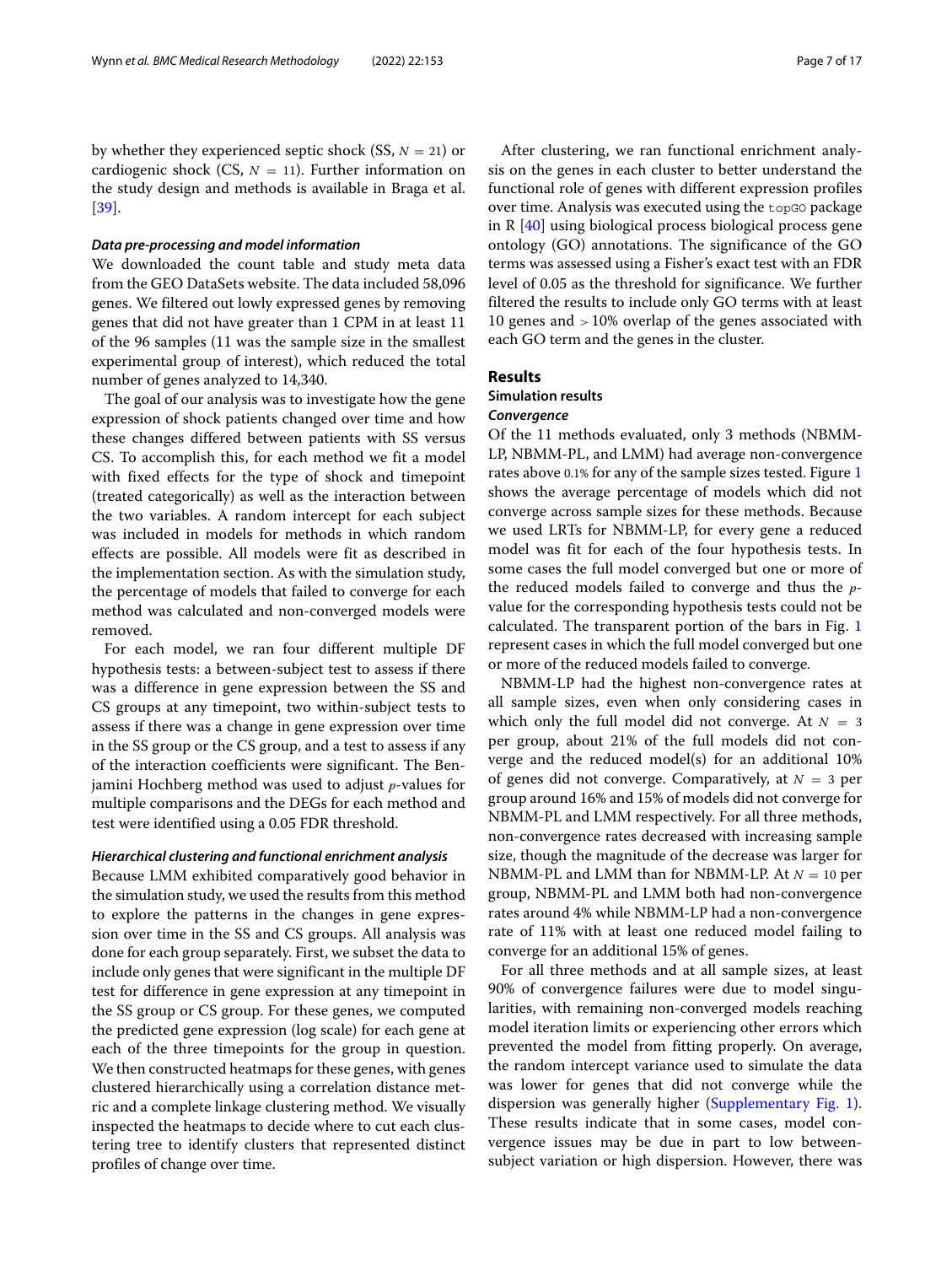by whether they experienced septic shock  $(SS, N = 21)$  or cardiogenic shock (CS,  $N = 11$ ). Further information on the study design and methods is available in Braga et al. [\[39\]](#page-16-10).

#### *Data pre-processing and model information*

We downloaded the count table and study meta data from the GEO DataSets website. The data included 58,096 genes. We filtered out lowly expressed genes by removing genes that did not have greater than 1 CPM in at least 11 of the 96 samples (11 was the sample size in the smallest experimental group of interest), which reduced the total number of genes analyzed to 14,340.

The goal of our analysis was to investigate how the gene expression of shock patients changed over time and how these changes differed between patients with SS versus CS. To accomplish this, for each method we fit a model with fixed effects for the type of shock and timepoint (treated categorically) as well as the interaction between the two variables. A random intercept for each subject was included in models for methods in which random effects are possible. All models were fit as described in the implementation section. As with the simulation study, the percentage of models that failed to converge for each method was calculated and non-converged models were removed.

For each model, we ran four different multiple DF hypothesis tests: a between-subject test to assess if there was a difference in gene expression between the SS and CS groups at any timepoint, two within-subject tests to assess if there was a change in gene expression over time in the SS group or the CS group, and a test to assess if any of the interaction coefficients were significant. The Benjamini Hochberg method was used to adjust *p*-values for multiple comparisons and the DEGs for each method and test were identified using a 0.05 FDR threshold.

#### *Hierarchical clustering and functional enrichment analysis*

Because LMM exhibited comparatively good behavior in the simulation study, we used the results from this method to explore the patterns in the changes in gene expression over time in the SS and CS groups. All analysis was done for each group separately. First, we subset the data to include only genes that were significant in the multiple DF test for difference in gene expression at any timepoint in the SS group or CS group. For these genes, we computed the predicted gene expression (log scale) for each gene at each of the three timepoints for the group in question. We then constructed heatmaps for these genes, with genes clustered hierarchically using a correlation distance metric and a complete linkage clustering method. We visually inspected the heatmaps to decide where to cut each clustering tree to identify clusters that represented distinct profiles of change over time.

After clustering, we ran functional enrichment analysis on the genes in each cluster to better understand the functional role of genes with different expression profiles over time. Analysis was executed using the topGO package in R [\[40\]](#page-16-11) using biological process biological process gene ontology (GO) annotations. The significance of the GO terms was assessed using a Fisher's exact test with an FDR level of 0.05 as the threshold for significance. We further filtered the results to include only GO terms with at least 10 genes and > 10% overlap of the genes associated with each GO term and the genes in the cluster.

#### **Results**

## **Simulation results**

## *Convergence*

Of the 11 methods evaluated, only 3 methods (NBMM-LP, NBMM-PL, and LMM) had average non-convergence rates above 0.1% for any of the sample sizes tested. Figure [1](#page-7-0) shows the average percentage of models which did not converge across sample sizes for these methods. Because we used LRTs for NBMM-LP, for every gene a reduced model was fit for each of the four hypothesis tests. In some cases the full model converged but one or more of the reduced models failed to converge and thus the *p*value for the corresponding hypothesis tests could not be calculated. The transparent portion of the bars in Fig. [1](#page-7-0) represent cases in which the full model converged but one or more of the reduced models failed to converge.

NBMM-LP had the highest non-convergence rates at all sample sizes, even when only considering cases in which only the full model did not converge. At  $N = 3$ per group, about 21% of the full models did not converge and the reduced model(s) for an additional 10% of genes did not converge. Comparatively, at  $N = 3$  per group around 16% and 15% of models did not converge for NBMM-PL and LMM respectively. For all three methods, non-convergence rates decreased with increasing sample size, though the magnitude of the decrease was larger for NBMM-PL and LMM than for NBMM-LP. At *N* = 10 per group, NBMM-PL and LMM both had non-convergence rates around 4% while NBMM-LP had a non-convergence rate of 11% with at least one reduced model failing to converge for an additional 15% of genes.

For all three methods and at all sample sizes, at least 90% of convergence failures were due to model singularities, with remaining non-converged models reaching model iteration limits or experiencing other errors which prevented the model from fitting properly. On average, the random intercept variance used to simulate the data was lower for genes that did not converge while the dispersion was generally higher [\(Supplementary Fig. 1\)](#page-14-0). These results indicate that in some cases, model convergence issues may be due in part to low betweensubject variation or high dispersion. However, there was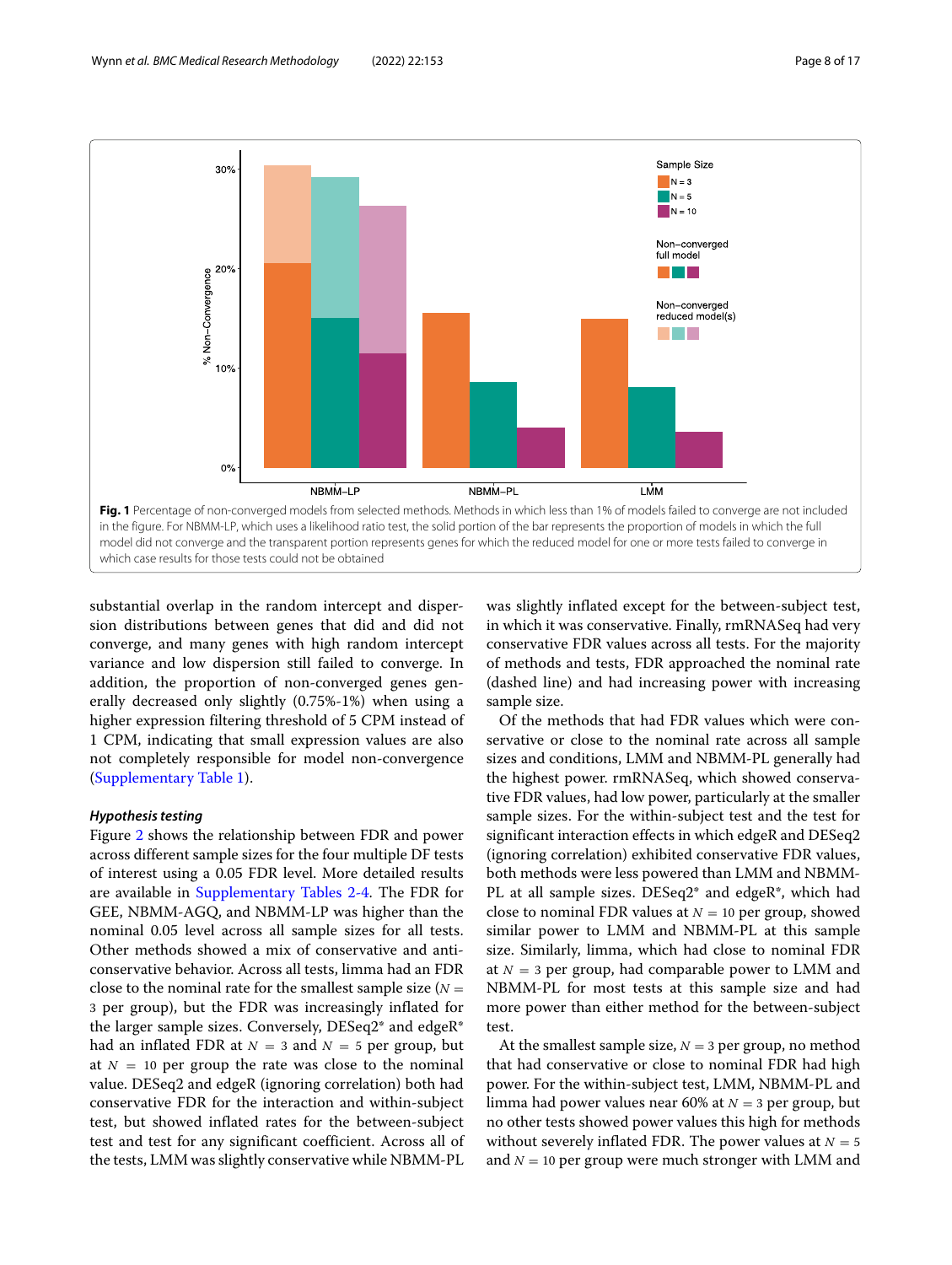

<span id="page-7-0"></span>substantial overlap in the random intercept and dispersion distributions between genes that did and did not converge, and many genes with high random intercept variance and low dispersion still failed to converge. In addition, the proportion of non-converged genes generally decreased only slightly (0.75%-1%) when using a higher expression filtering threshold of 5 CPM instead of 1 CPM, indicating that small expression values are also not completely responsible for model non-convergence [\(Supplementary Table 1\)](#page-14-0).

## *Hypothesis testing*

Figure [2](#page-8-0) shows the relationship between FDR and power across different sample sizes for the four multiple DF tests of interest using a 0.05 FDR level. More detailed results are available in [Supplementary Tables 2-4.](#page-14-0) The FDR for GEE, NBMM-AGQ, and NBMM-LP was higher than the nominal 0.05 level across all sample sizes for all tests. Other methods showed a mix of conservative and anticonservative behavior. Across all tests, limma had an FDR close to the nominal rate for the smallest sample size  $(N =$ 3 per group), but the FDR was increasingly inflated for the larger sample sizes. Conversely, DESeq2\* and edgeR\* had an inflated FDR at  $N = 3$  and  $N = 5$  per group, but at  $N = 10$  per group the rate was close to the nominal value. DESeq2 and edgeR (ignoring correlation) both had conservative FDR for the interaction and within-subject test, but showed inflated rates for the between-subject test and test for any significant coefficient. Across all of the tests, LMM was slightly conservative while NBMM-PL was slightly inflated except for the between-subject test, in which it was conservative. Finally, rmRNASeq had very conservative FDR values across all tests. For the majority of methods and tests, FDR approached the nominal rate (dashed line) and had increasing power with increasing sample size.

Of the methods that had FDR values which were conservative or close to the nominal rate across all sample sizes and conditions, LMM and NBMM-PL generally had the highest power. rmRNASeq, which showed conservative FDR values, had low power, particularly at the smaller sample sizes. For the within-subject test and the test for significant interaction effects in which edgeR and DESeq2 (ignoring correlation) exhibited conservative FDR values, both methods were less powered than LMM and NBMM-PL at all sample sizes. DESeq2\* and edgeR\*, which had close to nominal FDR values at  $N = 10$  per group, showed similar power to LMM and NBMM-PL at this sample size. Similarly, limma, which had close to nominal FDR at  $N = 3$  per group, had comparable power to LMM and NBMM-PL for most tests at this sample size and had more power than either method for the between-subject test.

At the smallest sample size,  $N = 3$  per group, no method that had conservative or close to nominal FDR had high power. For the within-subject test, LMM, NBMM-PL and limma had power values near 60% at *N* = 3 per group, but no other tests showed power values this high for methods without severely inflated FDR. The power values at  $N = 5$ and  $N = 10$  per group were much stronger with LMM and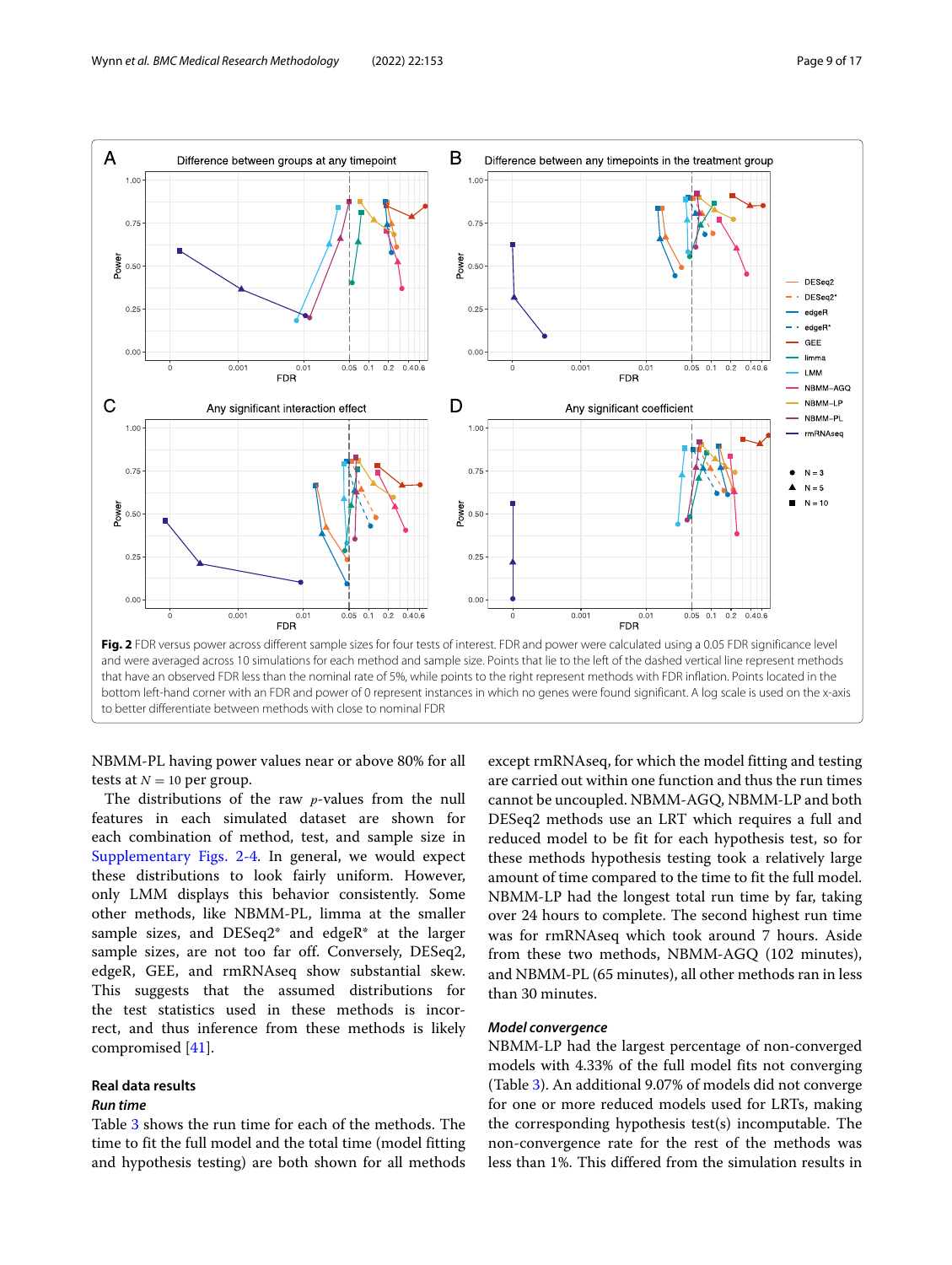

<span id="page-8-0"></span>NBMM-PL having power values near or above 80% for all tests at  $N = 10$  per group.

The distributions of the raw *p*-values from the null features in each simulated dataset are shown for each combination of method, test, and sample size in [Supplementary Figs. 2-4.](#page-14-0) In general, we would expect these distributions to look fairly uniform. However, only LMM displays this behavior consistently. Some other methods, like NBMM-PL, limma at the smaller sample sizes, and DESeq2\* and edgeR\* at the larger sample sizes, are not too far off. Conversely, DESeq2, edgeR, GEE, and rmRNAseq show substantial skew. This suggests that the assumed distributions for the test statistics used in these methods is incorrect, and thus inference from these methods is likely compromised [\[41\]](#page-16-12).

## **Real data results**

#### *Run time*

Table [3](#page-9-0) shows the run time for each of the methods. The time to fit the full model and the total time (model fitting and hypothesis testing) are both shown for all methods except rmRNAseq, for which the model fitting and testing are carried out within one function and thus the run times cannot be uncoupled. NBMM-AGQ, NBMM-LP and both DESeq2 methods use an LRT which requires a full and reduced model to be fit for each hypothesis test, so for these methods hypothesis testing took a relatively large amount of time compared to the time to fit the full model. NBMM-LP had the longest total run time by far, taking over 24 hours to complete. The second highest run time was for rmRNAseq which took around 7 hours. Aside from these two methods, NBMM-AGQ (102 minutes), and NBMM-PL (65 minutes), all other methods ran in less than 30 minutes.

#### *Model convergence*

NBMM-LP had the largest percentage of non-converged models with 4.33% of the full model fits not converging (Table [3\)](#page-9-0). An additional 9.07% of models did not converge for one or more reduced models used for LRTs, making the corresponding hypothesis test(s) incomputable. The non-convergence rate for the rest of the methods was less than 1%. This differed from the simulation results in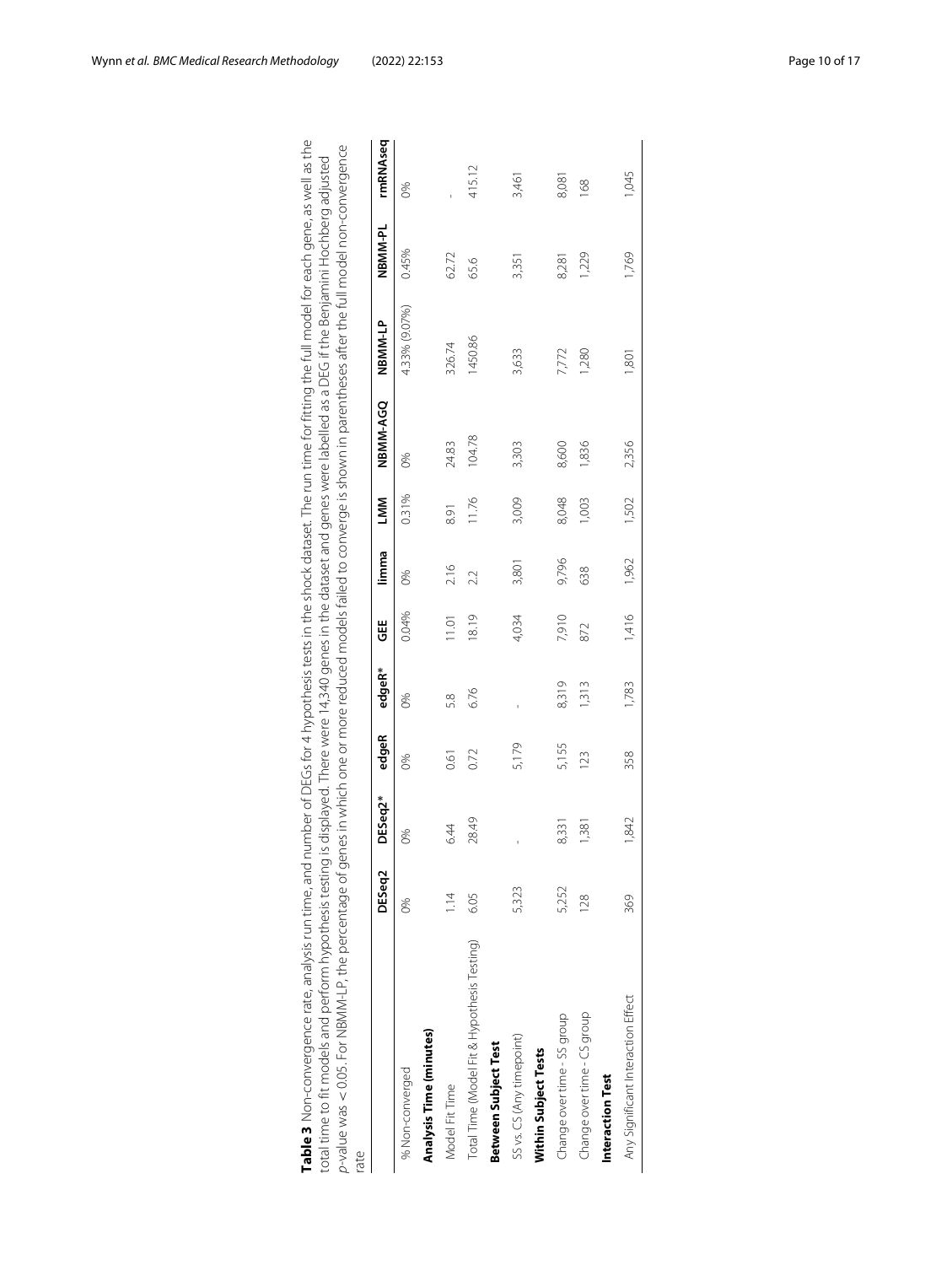| rate                                        | DESeq2         | DESeq2*        | edgeR | edgeR* | ₩     | limma | LMM            | NBMM-AGQ | NBMM-LP         | NBMM-PL | rmRNAseq |
|---------------------------------------------|----------------|----------------|-------|--------|-------|-------|----------------|----------|-----------------|---------|----------|
| % Non-converged                             | 86             | 8%             | 0%    | 0%     | 0.04% | 0%    | 0.31%          | 6%       | 4.33% (9.07%)   | 0.45%   | 8%       |
| Analysis Time (minutes)                     |                |                |       |        |       |       |                |          |                 |         |          |
| Model Fit Time                              | $\frac{4}{11}$ | 6.44           | 0.61  | 58     | 11.01 | 2.16  | 8.91           | 24.83    | 326.74          | 62.72   |          |
| Total Time (Model Fit & Hypothesis Testing) | 6.05           | 28.49          | 0.72  | 6.76   | 18.19 | 2.2   | 11.76          | 104.78   | 1450.86         | 65.6    | 415.12   |
| Between Subject Test                        |                |                |       |        |       |       |                |          |                 |         |          |
| SS vs. CS (Any timepoint)                   | 5,323          |                | 5,179 |        | 4,034 | 3,801 | 3,009          | 3,303    | 3,633           | 3,351   | 3,461    |
| Within Subject Tests                        |                |                |       |        |       |       |                |          |                 |         |          |
| Change over time - SS group                 | 5,252          | 8.33           | 5,155 | 8,319  | 7,910 | 9,796 | 8,048          | 8,600    | 7,772           | 8,281   | 8,081    |
| Change over time - CS group                 | 128            | $\frac{38}{1}$ | 123   | 313    | 872   | 638   | $\overline{0}$ | 1,836    | 1,280           | 1,229   | 168      |
| Interaction Test                            |                |                |       |        |       |       |                |          |                 |         |          |
| Any Significant Interaction Effect          | 369            | 1,842          | 358   | 1,783  | 1,416 | 1,962 | 1,502          | 2,356    | $\overline{80}$ | 1,769   | 1,045    |
|                                             |                |                |       |        |       |       |                |          |                 |         |          |

<span id="page-9-0"></span>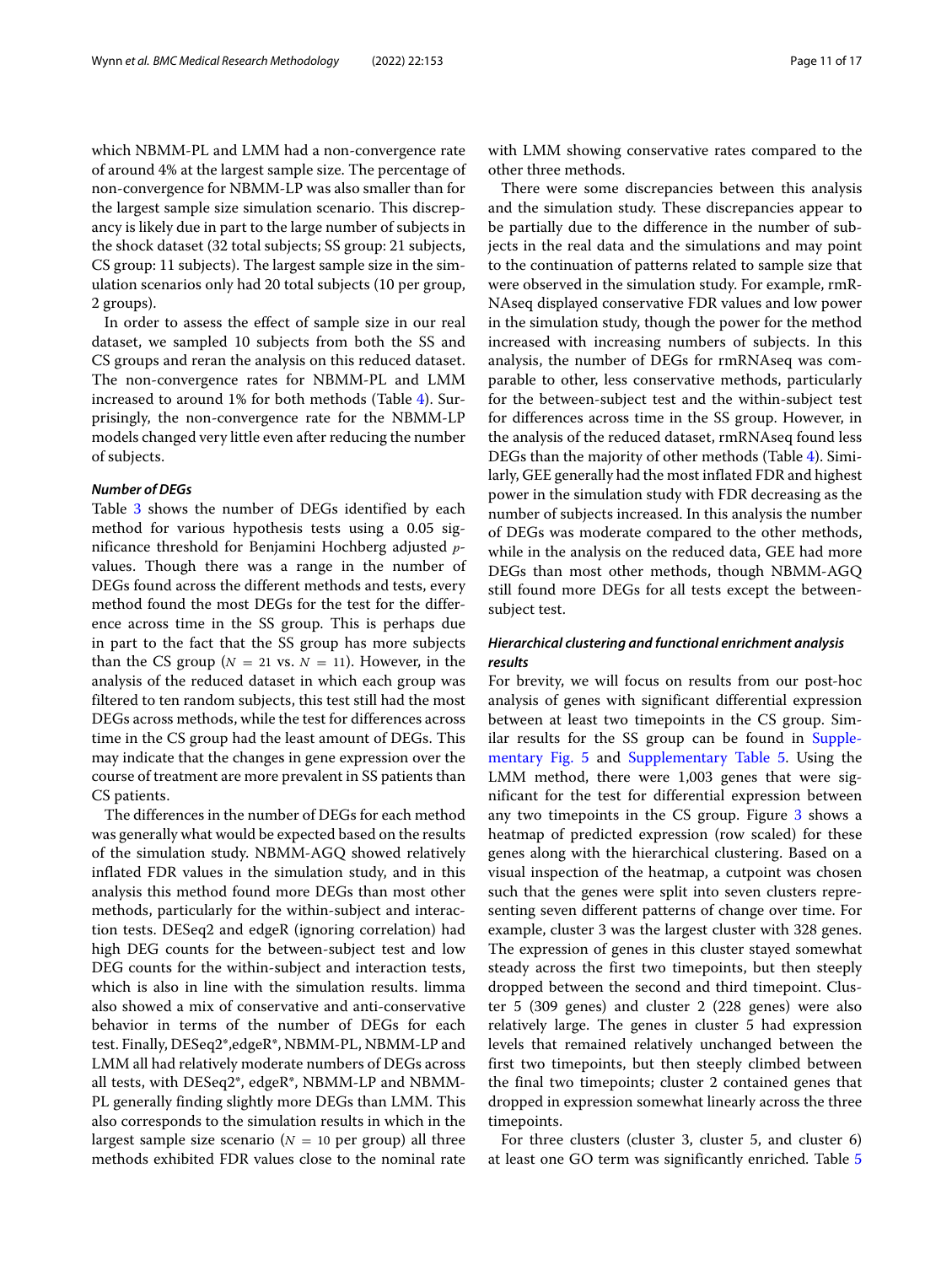which NBMM-PL and LMM had a non-convergence rate of around 4% at the largest sample size. The percentage of non-convergence for NBMM-LP was also smaller than for the largest sample size simulation scenario. This discrepancy is likely due in part to the large number of subjects in the shock dataset (32 total subjects; SS group: 21 subjects, CS group: 11 subjects). The largest sample size in the simulation scenarios only had 20 total subjects (10 per group, 2 groups).

In order to assess the effect of sample size in our real dataset, we sampled 10 subjects from both the SS and CS groups and reran the analysis on this reduced dataset. The non-convergence rates for NBMM-PL and LMM increased to around 1% for both methods (Table [4\)](#page-11-0). Surprisingly, the non-convergence rate for the NBMM-LP models changed very little even after reducing the number of subjects.

## *Number of DEGs*

Table [3](#page-9-0) shows the number of DEGs identified by each method for various hypothesis tests using a 0.05 significance threshold for Benjamini Hochberg adjusted *p*values. Though there was a range in the number of DEGs found across the different methods and tests, every method found the most DEGs for the test for the difference across time in the SS group. This is perhaps due in part to the fact that the SS group has more subjects than the CS group ( $N = 21$  vs.  $N = 11$ ). However, in the analysis of the reduced dataset in which each group was filtered to ten random subjects, this test still had the most DEGs across methods, while the test for differences across time in the CS group had the least amount of DEGs. This may indicate that the changes in gene expression over the course of treatment are more prevalent in SS patients than CS patients.

The differences in the number of DEGs for each method was generally what would be expected based on the results of the simulation study. NBMM-AGQ showed relatively inflated FDR values in the simulation study, and in this analysis this method found more DEGs than most other methods, particularly for the within-subject and interaction tests. DESeq2 and edgeR (ignoring correlation) had high DEG counts for the between-subject test and low DEG counts for the within-subject and interaction tests, which is also in line with the simulation results. limma also showed a mix of conservative and anti-conservative behavior in terms of the number of DEGs for each test. Finally, DESeq2\*,edgeR\*, NBMM-PL, NBMM-LP and LMM all had relatively moderate numbers of DEGs across all tests, with DESeq2\*, edgeR\*, NBMM-LP and NBMM-PL generally finding slightly more DEGs than LMM. This also corresponds to the simulation results in which in the largest sample size scenario ( $N = 10$  per group) all three methods exhibited FDR values close to the nominal rate with LMM showing conservative rates compared to the other three methods.

There were some discrepancies between this analysis and the simulation study. These discrepancies appear to be partially due to the difference in the number of subjects in the real data and the simulations and may point to the continuation of patterns related to sample size that were observed in the simulation study. For example, rmR-NAseq displayed conservative FDR values and low power in the simulation study, though the power for the method increased with increasing numbers of subjects. In this analysis, the number of DEGs for rmRNAseq was comparable to other, less conservative methods, particularly for the between-subject test and the within-subject test for differences across time in the SS group. However, in the analysis of the reduced dataset, rmRNAseq found less DEGs than the majority of other methods (Table [4\)](#page-11-0). Similarly, GEE generally had the most inflated FDR and highest power in the simulation study with FDR decreasing as the number of subjects increased. In this analysis the number of DEGs was moderate compared to the other methods, while in the analysis on the reduced data, GEE had more DEGs than most other methods, though NBMM-AGQ still found more DEGs for all tests except the betweensubject test.

# *Hierarchical clustering and functional enrichment analysis results*

For brevity, we will focus on results from our post-hoc analysis of genes with significant differential expression between at least two timepoints in the CS group. Sim-ilar results for the SS group can be found in [Supple](#page-14-0)[mentary Fig. 5](#page-14-0) and [Supplementary Table 5.](#page-14-0) Using the LMM method, there were 1,003 genes that were significant for the test for differential expression between any two timepoints in the CS group. Figure [3](#page-12-0) shows a heatmap of predicted expression (row scaled) for these genes along with the hierarchical clustering. Based on a visual inspection of the heatmap, a cutpoint was chosen such that the genes were split into seven clusters representing seven different patterns of change over time. For example, cluster 3 was the largest cluster with 328 genes. The expression of genes in this cluster stayed somewhat steady across the first two timepoints, but then steeply dropped between the second and third timepoint. Cluster 5 (309 genes) and cluster 2 (228 genes) were also relatively large. The genes in cluster 5 had expression levels that remained relatively unchanged between the first two timepoints, but then steeply climbed between the final two timepoints; cluster 2 contained genes that dropped in expression somewhat linearly across the three timepoints.

For three clusters (cluster 3, cluster 5, and cluster 6) at least one GO term was significantly enriched. Table [5](#page-13-0)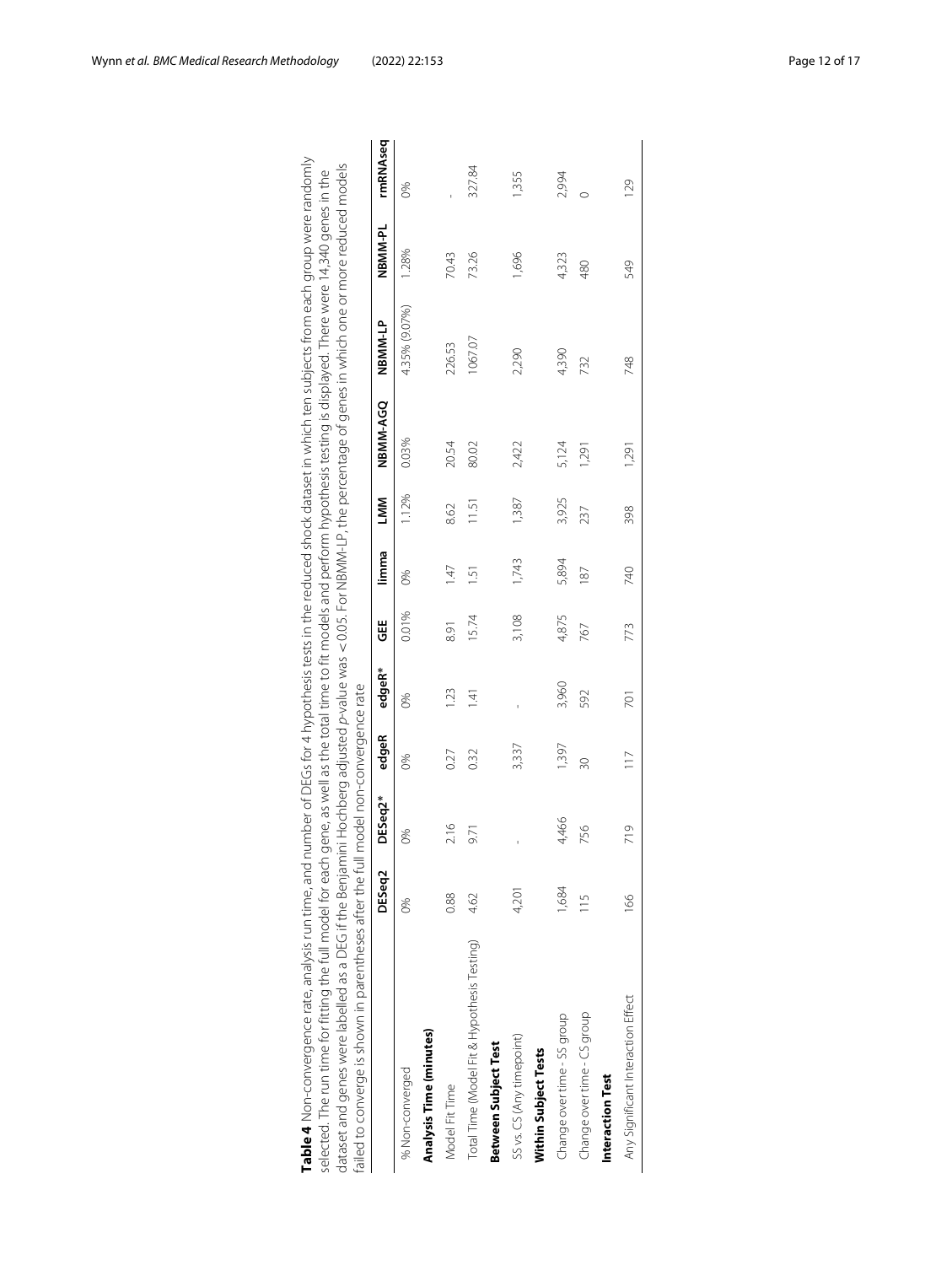<span id="page-11-0"></span>

| Table 4. Non-convergence rate, analysis run time, and number of DEGs for 4 hypothesis tests in the reduced shock dataset in which ten subjects from each qroup were randomly<br>dataset and genes were labelled as a DEG if the Benjamini Hochberg adjusted <i>p-</i> value was < 0.05. For NBMM-LP, the percentage of genes in which one or more reduced models<br>selected. The run time for fitting the full model for each gene, as well as the total time to fit models and perform hypothesis testing is displayed. There were 14,340 genes in the<br>failed to converge is shown in parentheses after the full model non-convergence rate |               |         |               |                |       |                |       |          |               |         |          |
|--------------------------------------------------------------------------------------------------------------------------------------------------------------------------------------------------------------------------------------------------------------------------------------------------------------------------------------------------------------------------------------------------------------------------------------------------------------------------------------------------------------------------------------------------------------------------------------------------------------------------------------------------|---------------|---------|---------------|----------------|-------|----------------|-------|----------|---------------|---------|----------|
|                                                                                                                                                                                                                                                                                                                                                                                                                                                                                                                                                                                                                                                  | DESeq2        | DESeq2* | edgeR         | edgeR*         | ₩     | limma          | LMM   | NBMM-AGQ | NBMM-LP       | NBMM-PL | rmRNAseq |
| % Non-converged                                                                                                                                                                                                                                                                                                                                                                                                                                                                                                                                                                                                                                  | 86            | 8       | 6%            | 6%             | 0.01% | 86             | 1.12% | 0.03%    | 4.35% (9.07%) | 1.28%   | 86       |
| <b>Analysis Time (minutes)</b>                                                                                                                                                                                                                                                                                                                                                                                                                                                                                                                                                                                                                   |               |         |               |                |       |                |       |          |               |         |          |
| Model Fit Time                                                                                                                                                                                                                                                                                                                                                                                                                                                                                                                                                                                                                                   | 0.88          | 2.16    | 0.27          | 123            | 691   | $\frac{47}{5}$ | 8.62  | 20.54    | 226.53        | 70.43   |          |
| Total Time (Model Fit & Hypothesis Testing)                                                                                                                                                                                                                                                                                                                                                                                                                                                                                                                                                                                                      | 4.62          | 9.71    | 0.32          | $\overline{4}$ | 15.74 | $\overline{5}$ | 11.51 | 80.02    | 1067.07       | 73.26   | 327.84   |
| Between Subject Test                                                                                                                                                                                                                                                                                                                                                                                                                                                                                                                                                                                                                             |               |         |               |                |       |                |       |          |               |         |          |
| SS vs. CS (Any timepoint)                                                                                                                                                                                                                                                                                                                                                                                                                                                                                                                                                                                                                        | 4,201         |         | 3,337         |                | 3,108 | 1,743          | 1,387 | 2,422    | 2,290         | 1,696   | 1,355    |
| Within Subject Tests                                                                                                                                                                                                                                                                                                                                                                                                                                                                                                                                                                                                                             |               |         |               |                |       |                |       |          |               |         |          |
| Change over time - SS group                                                                                                                                                                                                                                                                                                                                                                                                                                                                                                                                                                                                                      | 1,684         | 4,466   | 1,397         | 3,960          | 4,875 | 5,894          | 3,925 | 5,124    | 4,390         | 4,323   | 2,994    |
| Change over time - CS group                                                                                                                                                                                                                                                                                                                                                                                                                                                                                                                                                                                                                      | $\frac{5}{1}$ | 756     | 30            | 592            | 767   | 87             | 237   | 1,291    | 732           | 480     |          |
| Interaction Test                                                                                                                                                                                                                                                                                                                                                                                                                                                                                                                                                                                                                                 |               |         |               |                |       |                |       |          |               |         |          |
| Any Significant Interaction Effect                                                                                                                                                                                                                                                                                                                                                                                                                                                                                                                                                                                                               | $\frac{8}{6}$ | 719     | $\frac{1}{1}$ | 701            | 773   | 740            | 398   | 1,291    | 748           | 549     | 129      |
|                                                                                                                                                                                                                                                                                                                                                                                                                                                                                                                                                                                                                                                  |               |         |               |                |       |                |       |          |               |         |          |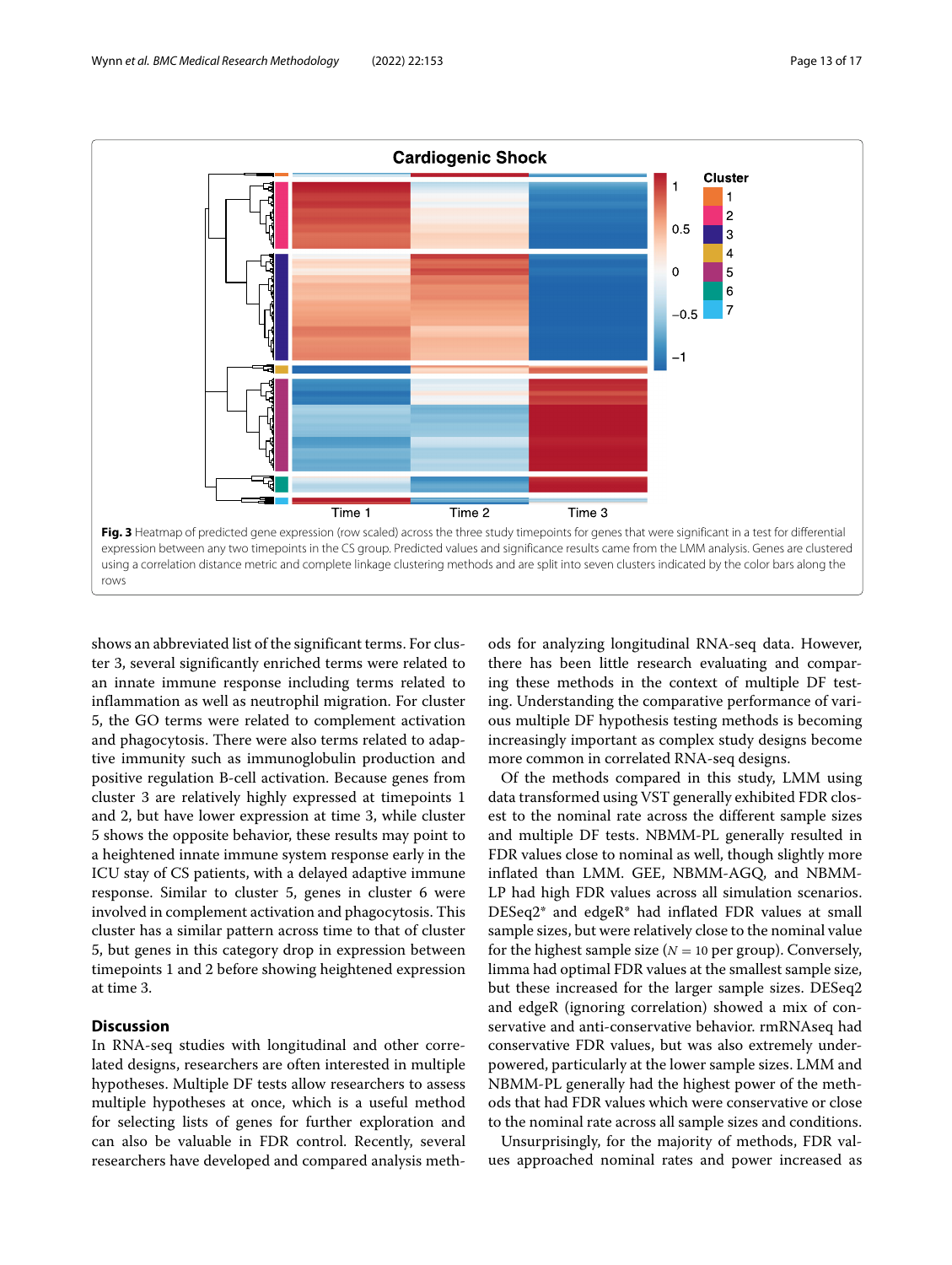

<span id="page-12-0"></span>shows an abbreviated list of the significant terms. For cluster 3, several significantly enriched terms were related to an innate immune response including terms related to inflammation as well as neutrophil migration. For cluster 5, the GO terms were related to complement activation and phagocytosis. There were also terms related to adaptive immunity such as immunoglobulin production and positive regulation B-cell activation. Because genes from cluster 3 are relatively highly expressed at timepoints 1 and 2, but have lower expression at time 3, while cluster 5 shows the opposite behavior, these results may point to a heightened innate immune system response early in the ICU stay of CS patients, with a delayed adaptive immune response. Similar to cluster 5, genes in cluster 6 were involved in complement activation and phagocytosis. This cluster has a similar pattern across time to that of cluster 5, but genes in this category drop in expression between timepoints 1 and 2 before showing heightened expression at time 3.

# **Discussion**

In RNA-seq studies with longitudinal and other correlated designs, researchers are often interested in multiple hypotheses. Multiple DF tests allow researchers to assess multiple hypotheses at once, which is a useful method for selecting lists of genes for further exploration and can also be valuable in FDR control. Recently, several researchers have developed and compared analysis methods for analyzing longitudinal RNA-seq data. However, there has been little research evaluating and comparing these methods in the context of multiple DF testing. Understanding the comparative performance of various multiple DF hypothesis testing methods is becoming increasingly important as complex study designs become more common in correlated RNA-seq designs.

Of the methods compared in this study, LMM using data transformed using VST generally exhibited FDR closest to the nominal rate across the different sample sizes and multiple DF tests. NBMM-PL generally resulted in FDR values close to nominal as well, though slightly more inflated than LMM. GEE, NBMM-AGQ, and NBMM-LP had high FDR values across all simulation scenarios. DESeq2\* and edgeR\* had inflated FDR values at small sample sizes, but were relatively close to the nominal value for the highest sample size ( $N = 10$  per group). Conversely, limma had optimal FDR values at the smallest sample size, but these increased for the larger sample sizes. DESeq2 and edgeR (ignoring correlation) showed a mix of conservative and anti-conservative behavior. rmRNAseq had conservative FDR values, but was also extremely underpowered, particularly at the lower sample sizes. LMM and NBMM-PL generally had the highest power of the methods that had FDR values which were conservative or close to the nominal rate across all sample sizes and conditions.

Unsurprisingly, for the majority of methods, FDR values approached nominal rates and power increased as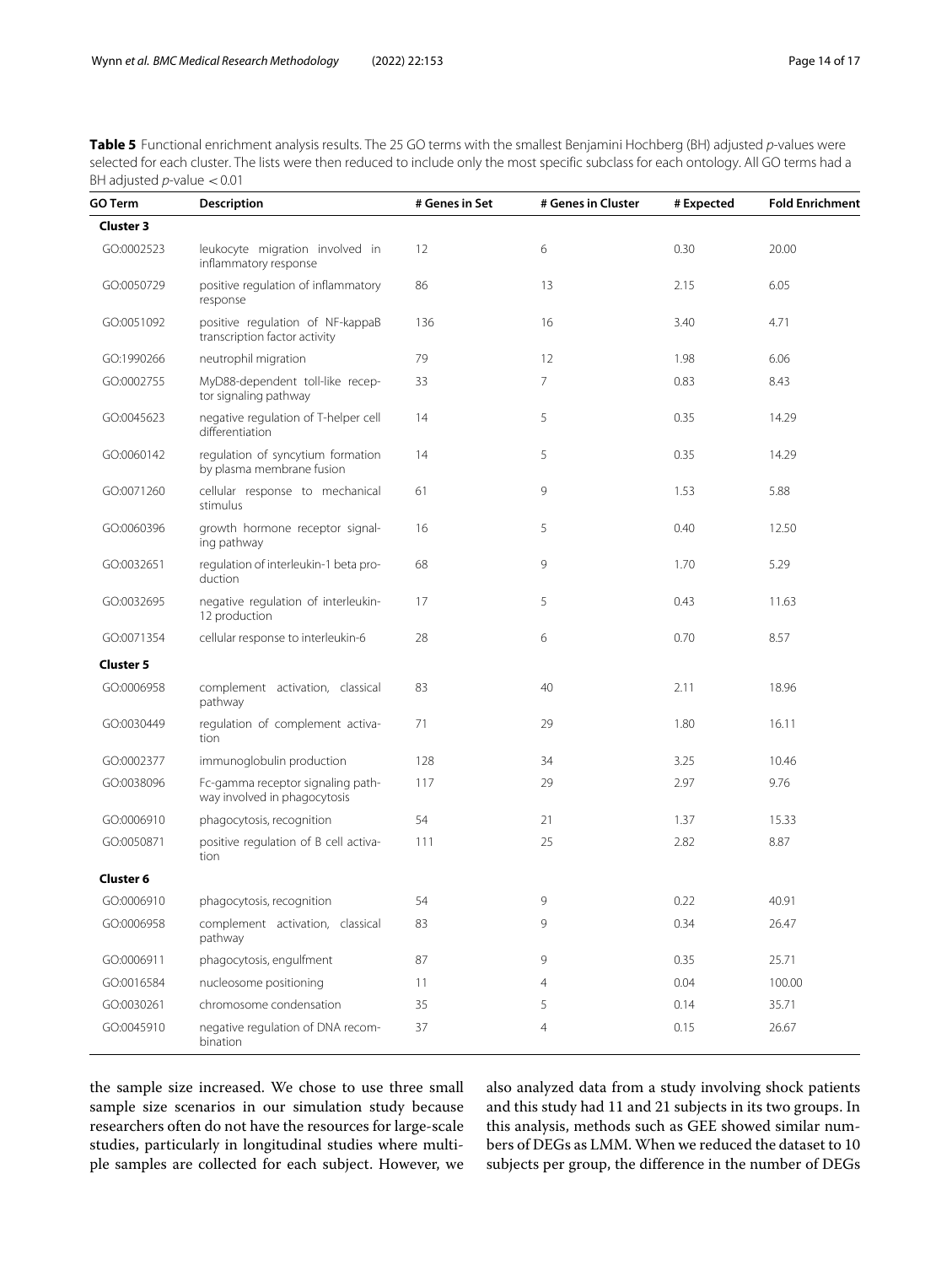<span id="page-13-0"></span>Table 5 Functional enrichment analysis results. The 25 GO terms with the smallest Benjamini Hochberg (BH) adjusted p-values were selected for each cluster. The lists were then reduced to include only the most specific subclass for each ontology. All GO terms had a BH adjusted  $p$ -value  $< 0.01$ 

| GO Term          | <b>Description</b>                                                | # Genes in Set | # Genes in Cluster | # Expected | <b>Fold Enrichment</b> |
|------------------|-------------------------------------------------------------------|----------------|--------------------|------------|------------------------|
| <b>Cluster 3</b> |                                                                   |                |                    |            |                        |
| GO:0002523       | leukocyte migration involved in<br>inflammatory response          | 12             | 6                  | 0.30       | 20.00                  |
| GO:0050729       | positive regulation of inflammatory<br>response                   | 86             | 13                 | 2.15       | 6.05                   |
| GO:0051092       | positive regulation of NF-kappaB<br>transcription factor activity | 136            | 16                 | 3.40       | 4.71                   |
| GO:1990266       | neutrophil migration                                              | 79             | 12                 | 1.98       | 6.06                   |
| GO:0002755       | MyD88-dependent toll-like recep-<br>tor signaling pathway         | 33             | 7                  | 0.83       | 8.43                   |
| GO:0045623       | negative regulation of T-helper cell<br>differentiation           | 14             | 5                  | 0.35       | 14.29                  |
| GO:0060142       | regulation of syncytium formation<br>by plasma membrane fusion    | 14             | 5                  | 0.35       | 14.29                  |
| GO:0071260       | cellular response to mechanical<br>stimulus                       | 61             | 9                  | 1.53       | 5.88                   |
| GO:0060396       | growth hormone receptor signal-<br>ing pathway                    | 16             | 5                  | 0.40       | 12.50                  |
| GO:0032651       | regulation of interleukin-1 beta pro-<br>duction                  | 68             | 9                  | 1.70       | 5.29                   |
| GO:0032695       | negative regulation of interleukin-<br>12 production              | 17             | 5                  | 0.43       | 11.63                  |
| GO:0071354       | cellular response to interleukin-6                                | 28             | 6                  | 0.70       | 8.57                   |
| <b>Cluster 5</b> |                                                                   |                |                    |            |                        |
| GO:0006958       | complement activation, classical<br>pathway                       | 83             | 40                 | 2.11       | 18.96                  |
| GO:0030449       | regulation of complement activa-<br>tion                          | 71             | 29                 | 1.80       | 16.11                  |
| GO:0002377       | immunoglobulin production                                         | 128            | 34                 | 3.25       | 10.46                  |
| GO:0038096       | Fc-gamma receptor signaling path-<br>way involved in phagocytosis | 117            | 29                 | 2.97       | 9.76                   |
| GO:0006910       | phagocytosis, recognition                                         | 54             | 21                 | 1.37       | 15.33                  |
| GO:0050871       | positive regulation of B cell activa-<br>tion                     | 111            | 25                 | 2.82       | 8.87                   |
| Cluster 6        |                                                                   |                |                    |            |                        |
| GO:0006910       | phagocytosis, recognition                                         | 54             | 9                  | 0.22       | 40.91                  |
| GO:0006958       | complement activation, classical<br>pathway                       | 83             | 9                  | 0.34       | 26.47                  |
| GO:0006911       | phagocytosis, engulfment                                          | 87             | 9                  | 0.35       | 25.71                  |
| GO:0016584       | nucleosome positioning                                            | 11             | 4                  | 0.04       | 100.00                 |
| GO:0030261       | chromosome condensation                                           | 35             | 5                  | 0.14       | 35.71                  |
| GO:0045910       | negative regulation of DNA recom-<br>bination                     | 37             | 4                  | 0.15       | 26.67                  |

the sample size increased. We chose to use three small sample size scenarios in our simulation study because researchers often do not have the resources for large-scale studies, particularly in longitudinal studies where multiple samples are collected for each subject. However, we also analyzed data from a study involving shock patients and this study had 11 and 21 subjects in its two groups. In this analysis, methods such as GEE showed similar numbers of DEGs as LMM. When we reduced the dataset to 10 subjects per group, the difference in the number of DEGs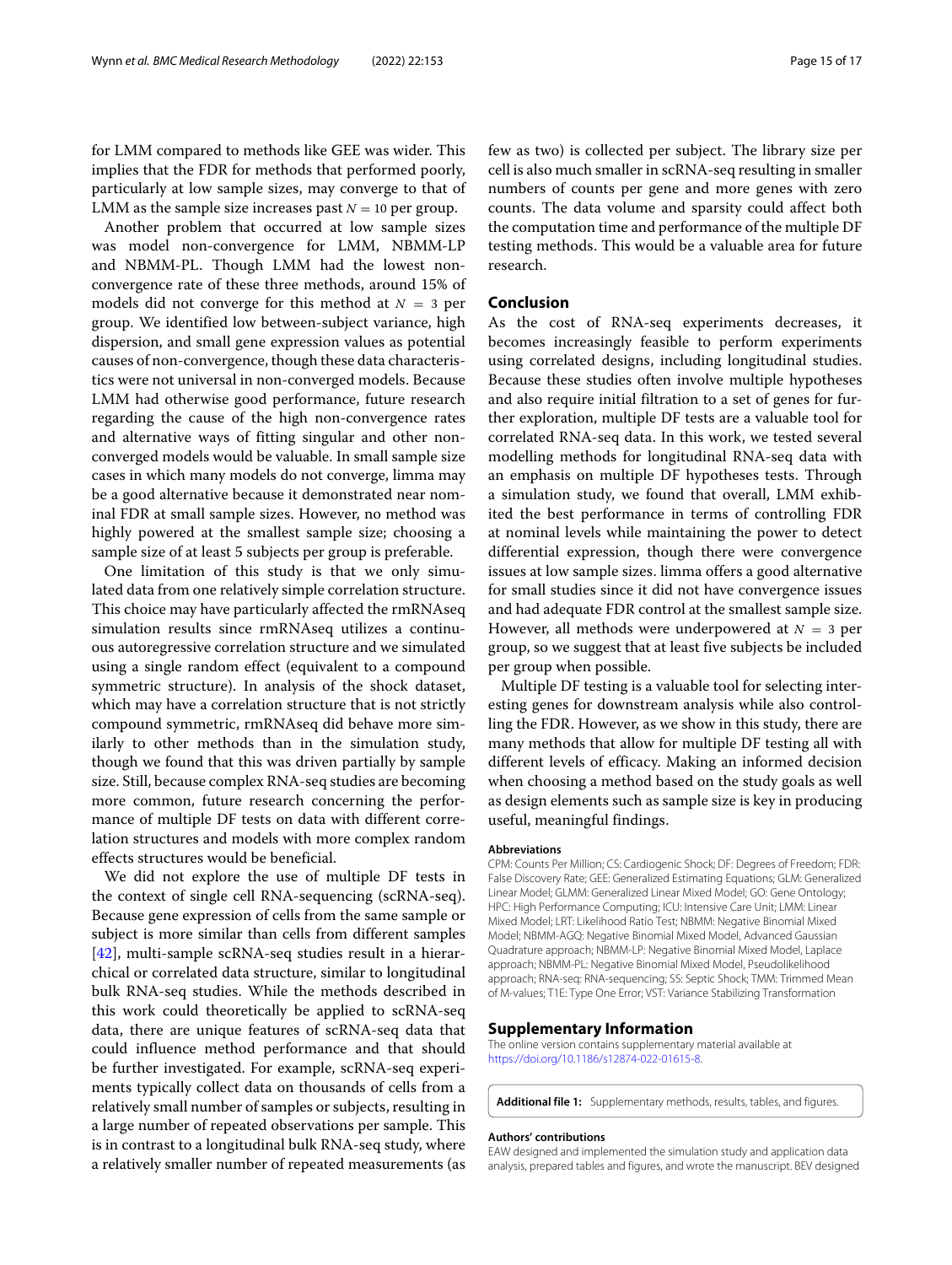for LMM compared to methods like GEE was wider. This implies that the FDR for methods that performed poorly, particularly at low sample sizes, may converge to that of LMM as the sample size increases past  $N = 10$  per group.

Another problem that occurred at low sample sizes was model non-convergence for LMM, NBMM-LP and NBMM-PL. Though LMM had the lowest nonconvergence rate of these three methods, around 15% of models did not converge for this method at  $N = 3$  per group. We identified low between-subject variance, high dispersion, and small gene expression values as potential causes of non-convergence, though these data characteristics were not universal in non-converged models. Because LMM had otherwise good performance, future research regarding the cause of the high non-convergence rates and alternative ways of fitting singular and other nonconverged models would be valuable. In small sample size cases in which many models do not converge, limma may be a good alternative because it demonstrated near nominal FDR at small sample sizes. However, no method was highly powered at the smallest sample size; choosing a sample size of at least 5 subjects per group is preferable.

One limitation of this study is that we only simulated data from one relatively simple correlation structure. This choice may have particularly affected the rmRNAseq simulation results since rmRNAseq utilizes a continuous autoregressive correlation structure and we simulated using a single random effect (equivalent to a compound symmetric structure). In analysis of the shock dataset, which may have a correlation structure that is not strictly compound symmetric, rmRNAseq did behave more similarly to other methods than in the simulation study, though we found that this was driven partially by sample size. Still, because complex RNA-seq studies are becoming more common, future research concerning the performance of multiple DF tests on data with different correlation structures and models with more complex random effects structures would be beneficial.

We did not explore the use of multiple DF tests in the context of single cell RNA-sequencing (scRNA-seq). Because gene expression of cells from the same sample or subject is more similar than cells from different samples [\[42\]](#page-16-13), multi-sample scRNA-seq studies result in a hierarchical or correlated data structure, similar to longitudinal bulk RNA-seq studies. While the methods described in this work could theoretically be applied to scRNA-seq data, there are unique features of scRNA-seq data that could influence method performance and that should be further investigated. For example, scRNA-seq experiments typically collect data on thousands of cells from a relatively small number of samples or subjects, resulting in a large number of repeated observations per sample. This is in contrast to a longitudinal bulk RNA-seq study, where a relatively smaller number of repeated measurements (as

few as two) is collected per subject. The library size per cell is also much smaller in scRNA-seq resulting in smaller numbers of counts per gene and more genes with zero counts. The data volume and sparsity could affect both the computation time and performance of the multiple DF testing methods. This would be a valuable area for future research.

#### **Conclusion**

As the cost of RNA-seq experiments decreases, it becomes increasingly feasible to perform experiments using correlated designs, including longitudinal studies. Because these studies often involve multiple hypotheses and also require initial filtration to a set of genes for further exploration, multiple DF tests are a valuable tool for correlated RNA-seq data. In this work, we tested several modelling methods for longitudinal RNA-seq data with an emphasis on multiple DF hypotheses tests. Through a simulation study, we found that overall, LMM exhibited the best performance in terms of controlling FDR at nominal levels while maintaining the power to detect differential expression, though there were convergence issues at low sample sizes. limma offers a good alternative for small studies since it did not have convergence issues and had adequate FDR control at the smallest sample size. However, all methods were underpowered at  $N = 3$  per group, so we suggest that at least five subjects be included per group when possible.

Multiple DF testing is a valuable tool for selecting interesting genes for downstream analysis while also controlling the FDR. However, as we show in this study, there are many methods that allow for multiple DF testing all with different levels of efficacy. Making an informed decision when choosing a method based on the study goals as well as design elements such as sample size is key in producing useful, meaningful findings.

#### **Abbreviations**

CPM: Counts Per Million; CS: Cardiogenic Shock; DF: Degrees of Freedom; FDR: False Discovery Rate; GEE: Generalized Estimating Equations; GLM: Generalized Linear Model; GLMM: Generalized Linear Mixed Model; GO: Gene Ontology; HPC: High Performance Computing; ICU: Intensive Care Unit; LMM: Linear Mixed Model; LRT: Likelihood Ratio Test; NBMM: Negative Binomial Mixed Model; NBMM-AGQ: Negative Binomial Mixed Model, Advanced Gaussian Quadrature approach; NBMM-LP: Negative Binomial Mixed Model, Laplace approach; NBMM-PL: Negative Binomial Mixed Model, Pseudolikelihood approach; RNA-seq: RNA-sequencing; SS: Septic Shock; TMM: Trimmed Mean of M-values; T1E: Type One Error; VST: Variance Stabilizing Transformation

#### **Supplementary Information**

The online version contains supplementary material available at [https://doi.org/10.1186/s12874-022-01615-8.](https://doi.org/10.1186/s12874-022-01615-8)

<span id="page-14-0"></span>**Additional file 1:** Supplementary methods, results, tables, and figures.

#### **Authors' contributions**

EAW designed and implemented the simulation study and application data analysis, prepared tables and figures, and wrote the manuscript. BEV designed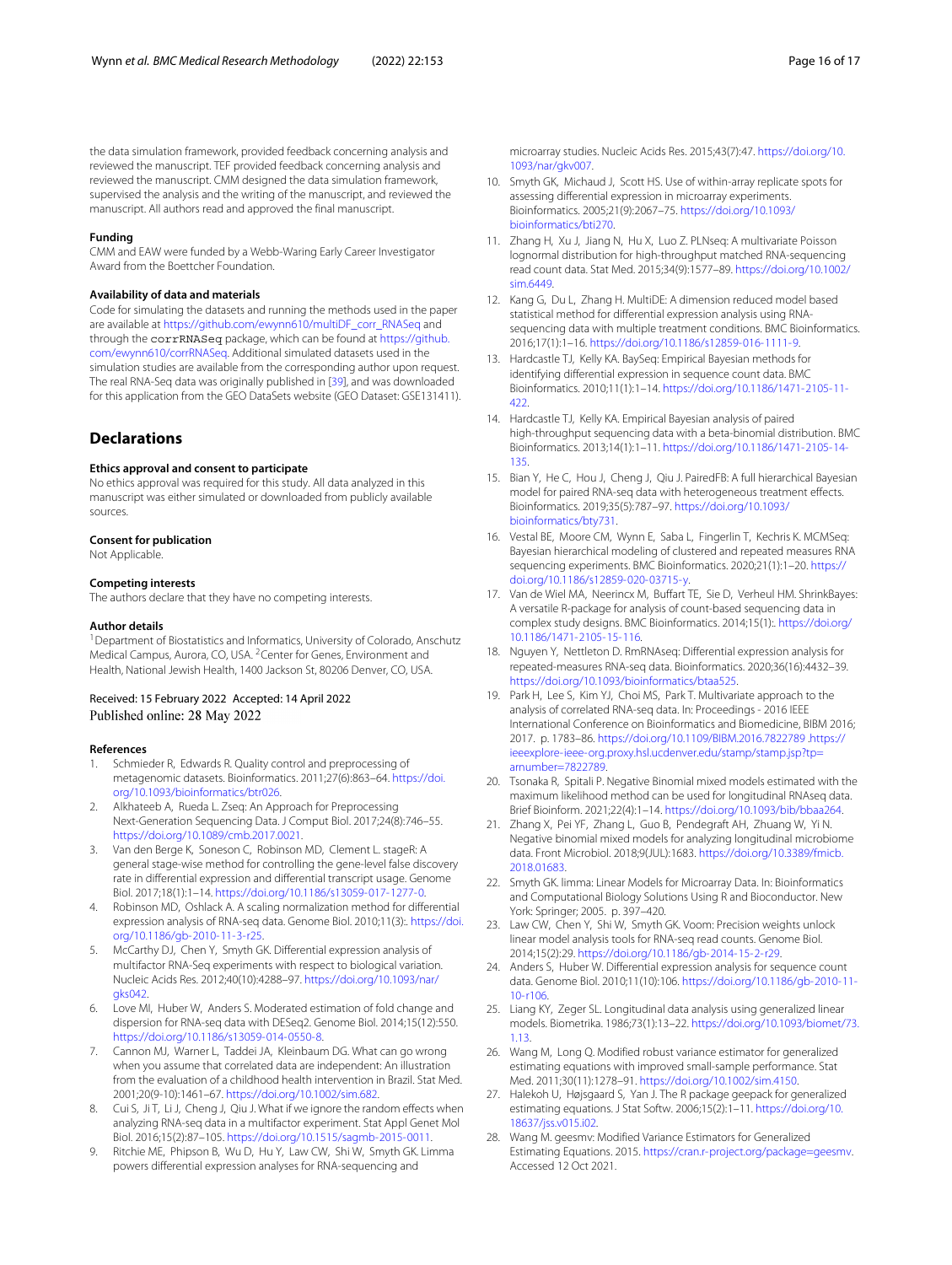the data simulation framework, provided feedback concerning analysis and reviewed the manuscript. TEF provided feedback concerning analysis and reviewed the manuscript. CMM designed the data simulation framework, supervised the analysis and the writing of the manuscript, and reviewed the manuscript. All authors read and approved the final manuscript.

#### **Funding**

CMM and EAW were funded by a Webb-Waring Early Career Investigator Award from the Boettcher Foundation.

#### **Availability of data and materials**

Code for simulating the datasets and running the methods used in the paper are available at [https://github.com/ewynn610/multiDF\\_corr\\_RNASeq](https://github.com/ewynn610/multiDF_corr_RNASeq) and through the corrRNASeq package, which can be found at [https://github.](https://github.com/ewynn610/corrRNASeq) [com/ewynn610/corrRNASeq.](https://github.com/ewynn610/corrRNASeq) Additional simulated datasets used in the simulation studies are available from the corresponding author upon request. The real RNA-Seq data was originally published in [\[39\]](#page-16-10), and was downloaded for this application from the GEO DataSets website (GEO Dataset: GSE131411).

#### **Declarations**

#### **Ethics approval and consent to participate**

No ethics approval was required for this study. All data analyzed in this manuscript was either simulated or downloaded from publicly available sources.

#### **Consent for publication**

Not Applicable.

#### **Competing interests**

The authors declare that they have no competing interests.

#### **Author details**

<sup>1</sup> Department of Biostatistics and Informatics, University of Colorado, Anschutz Medical Campus, Aurora, CO, USA. 2Center for Genes, Environment and Health, National Jewish Health, 1400 Jackson St, 80206 Denver, CO, USA.

## Received: 15 February 2022 Accepted: 14 April 2022 Published online: 28 May 2022

#### **References**

- <span id="page-15-0"></span>1. Schmieder R, Edwards R. Quality control and preprocessing of metagenomic datasets. Bioinformatics. 2011;27(6):863–64. [https://doi.](https://doi.org/10.1093/bioinformatics/btr026) [org/10.1093/bioinformatics/btr026.](https://doi.org/10.1093/bioinformatics/btr026)
- <span id="page-15-1"></span>2. Alkhateeb A, Rueda L. Zseq: An Approach for Preprocessing Next-Generation Sequencing Data. J Comput Biol. 2017;24(8):746–55. [https://doi.org/10.1089/cmb.2017.0021.](https://doi.org/10.1089/cmb.2017.0021)
- <span id="page-15-2"></span>3. Van den Berge K, Soneson C, Robinson MD, Clement L. stageR: A general stage-wise method for controlling the gene-level false discovery rate in differential expression and differential transcript usage. Genome Biol. 2017;18(1):1–14. [https://doi.org/10.1186/s13059-017-1277-0.](https://doi.org/10.1186/s13059-017-1277-0)
- <span id="page-15-3"></span>4. Robinson MD, Oshlack A. A scaling normalization method for differential expression analysis of RNA-seq data. Genome Biol. 2010;11(3):. [https://doi.](https://doi.org/10.1186/gb-2010-11-3-r25) [org/10.1186/gb-2010-11-3-r25.](https://doi.org/10.1186/gb-2010-11-3-r25)
- <span id="page-15-4"></span>5. McCarthy DJ, Chen Y, Smyth GK. Differential expression analysis of multifactor RNA-Seq experiments with respect to biological variation. Nucleic Acids Res. 2012;40(10):4288–97. [https://doi.org/10.1093/nar/](https://doi.org/10.1093/nar/gks042) [gks042.](https://doi.org/10.1093/nar/gks042)
- <span id="page-15-5"></span>Love MI, Huber W, Anders S. Moderated estimation of fold change and dispersion for RNA-seq data with DESeq2. Genome Biol. 2014;15(12):550. [https://doi.org/10.1186/s13059-014-0550-8.](https://doi.org/10.1186/s13059-014-0550-8)
- <span id="page-15-6"></span>7. Cannon MJ, Warner L, Taddei JA, Kleinbaum DG. What can go wrong when you assume that correlated data are independent: An illustration from the evaluation of a childhood health intervention in Brazil. Stat Med. 2001;20(9-10):1461–67. [https://doi.org/10.1002/sim.682.](https://doi.org/10.1002/sim.682)
- <span id="page-15-7"></span>Cui S, Ji T, Li J, Cheng J, Qiu J. What if we ignore the random effects when analyzing RNA-seq data in a multifactor experiment. Stat Appl Genet Mol Biol. 2016;15(2):87–105. [https://doi.org/10.1515/sagmb-2015-0011.](https://doi.org/10.1515/sagmb-2015-0011)
- <span id="page-15-8"></span>Ritchie ME, Phipson B, Wu D, Hu Y, Law CW, Shi W, Smyth GK. Limma powers differential expression analyses for RNA-sequencing and

microarray studies. Nucleic Acids Res. 2015;43(7):47. [https://doi.org/10.](https://doi.org/10.1093/nar/gkv007) [1093/nar/gkv007.](https://doi.org/10.1093/nar/gkv007)

- <span id="page-15-9"></span>10. Smyth GK, Michaud J, Scott HS. Use of within-array replicate spots for assessing differential expression in microarray experiments. Bioinformatics. 2005;21(9):2067–75. [https://doi.org/10.1093/](https://doi.org/10.1093/bioinformatics/bti270) [bioinformatics/bti270.](https://doi.org/10.1093/bioinformatics/bti270)
- <span id="page-15-10"></span>11. Zhang H, Xu J, Jiang N, Hu X, Luo Z. PLNseq: A multivariate Poisson lognormal distribution for high-throughput matched RNA-sequencing read count data. Stat Med. 2015;34(9):1577–89. [https://doi.org/10.1002/](https://doi.org/10.1002/sim.6449) [sim.6449.](https://doi.org/10.1002/sim.6449)
- <span id="page-15-11"></span>12. Kang G, Du L, Zhang H. MultiDE: A dimension reduced model based statistical method for differential expression analysis using RNAsequencing data with multiple treatment conditions. BMC Bioinformatics. 2016;17(1):1–16. [https://doi.org/10.1186/s12859-016-1111-9.](https://doi.org/10.1186/s12859-016-1111-9)
- <span id="page-15-12"></span>13. Hardcastle TJ, Kelly KA. BaySeq: Empirical Bayesian methods for identifying differential expression in sequence count data. BMC Bioinformatics. 2010;11(1):1–14. [https://doi.org/10.1186/1471-2105-11-](https://doi.org/10.1186/1471-2105-11-422) [422.](https://doi.org/10.1186/1471-2105-11-422)
- <span id="page-15-13"></span>14. Hardcastle TJ, Kelly KA. Empirical Bayesian analysis of paired high-throughput sequencing data with a beta-binomial distribution. BMC Bioinformatics. 2013;14(1):1–11. [https://doi.org/10.1186/1471-2105-14-](https://doi.org/10.1186/1471-2105-14-135) [135.](https://doi.org/10.1186/1471-2105-14-135)
- <span id="page-15-14"></span>15. Bian Y, He C, Hou J, Cheng J, Qiu J. PairedFB: A full hierarchical Bayesian model for paired RNA-seq data with heterogeneous treatment effects. Bioinformatics. 2019;35(5):787–97. [https://doi.org/10.1093/](https://doi.org/10.1093/bioinformatics/bty731) [bioinformatics/bty731.](https://doi.org/10.1093/bioinformatics/bty731)
- <span id="page-15-15"></span>16. Vestal BE, Moore CM, Wynn E, Saba L, Fingerlin T, Kechris K. MCMSeq: Bayesian hierarchical modeling of clustered and repeated measures RNA sequencing experiments. BMC Bioinformatics. 2020;21(1):1–20. [https://](https://doi.org/10.1186/s12859-020-03715-y) [doi.org/10.1186/s12859-020-03715-y.](https://doi.org/10.1186/s12859-020-03715-y)
- <span id="page-15-16"></span>17. Van de Wiel MA, Neerincx M, Buffart TE, Sie D, Verheul HM. ShrinkBayes: A versatile R-package for analysis of count-based sequencing data in complex study designs. BMC Bioinformatics. 2014;15(1):. [https://doi.org/](https://doi.org/10.1186/1471-2105-15-116) [10.1186/1471-2105-15-116.](https://doi.org/10.1186/1471-2105-15-116)
- <span id="page-15-17"></span>18. Nguyen Y, Nettleton D. RmRNAseq: Differential expression analysis for repeated-measures RNA-seq data. Bioinformatics. 2020;36(16):4432–39. [https://doi.org/10.1093/bioinformatics/btaa525.](https://doi.org/10.1093/bioinformatics/btaa525)
- <span id="page-15-20"></span>19. Park H, Lee S, Kim YJ, Choi MS, Park T. Multivariate approach to the analysis of correlated RNA-seq data. In: Proceedings - 2016 IEEE International Conference on Bioinformatics and Biomedicine, BIBM 2016; 2017. p. 1783–86. <https://doi.org/10.1109/BIBM.2016.7822789> [.https://](https://ieeexplore-ieee-org.proxy.hsl.ucdenver.edu/stamp/stamp.jsp?tp=arnumber=7822789) [ieeexplore-ieee-org.proxy.hsl.ucdenver.edu/stamp/stamp.jsp?tp=](https://ieeexplore-ieee-org.proxy.hsl.ucdenver.edu/stamp/stamp.jsp?tp=arnumber=7822789) [arnumber=7822789.](https://ieeexplore-ieee-org.proxy.hsl.ucdenver.edu/stamp/stamp.jsp?tp=arnumber=7822789)
- <span id="page-15-18"></span>20. Tsonaka R, Spitali P. Negative Binomial mixed models estimated with the maximum likelihood method can be used for longitudinal RNAseq data. Brief Bioinform. 2021;22(4):1–14. [https://doi.org/10.1093/bib/bbaa264.](https://doi.org/10.1093/bib/bbaa264)
- <span id="page-15-19"></span>21. Zhang X, Pei YF, Zhang L, Guo B, Pendegraft AH, Zhuang W, Yi N. Negative binomial mixed models for analyzing longitudinal microbiome data. Front Microbiol. 2018;9(JUL):1683. [https://doi.org/10.3389/fmicb.](https://doi.org/10.3389/fmicb.2018.01683) [2018.01683.](https://doi.org/10.3389/fmicb.2018.01683)
- <span id="page-15-21"></span>22. Smyth GK. limma: Linear Models for Microarray Data. In: Bioinformatics and Computational Biology Solutions Using R and Bioconductor. New York: Springer; 2005. p. 397–420.
- <span id="page-15-22"></span>23. Law CW, Chen Y, Shi W, Smyth GK. Voom: Precision weights unlock linear model analysis tools for RNA-seq read counts. Genome Biol. 2014;15(2):29. [https://doi.org/10.1186/gb-2014-15-2-r29.](https://doi.org/10.1186/gb-2014-15-2-r29)
- <span id="page-15-23"></span>24. Anders S, Huber W. Differential expression analysis for sequence count data. Genome Biol. 2010;11(10):106. [https://doi.org/10.1186/gb-2010-11-](https://doi.org/10.1186/gb-2010-11-10-r106) [10-r106.](https://doi.org/10.1186/gb-2010-11-10-r106)
- <span id="page-15-24"></span>25. Liang KY, Zeger SL. Longitudinal data analysis using generalized linear models. Biometrika. 1986;73(1):13–22. [https://doi.org/10.1093/biomet/73.](https://doi.org/10.1093/biomet/73.1.13) [1.13.](https://doi.org/10.1093/biomet/73.1.13)
- <span id="page-15-25"></span>26. Wang M, Long Q. Modified robust variance estimator for generalized estimating equations with improved small-sample performance. Stat Med. 2011;30(11):1278–91. [https://doi.org/10.1002/sim.4150.](https://doi.org/10.1002/sim.4150)
- <span id="page-15-26"></span>27. Halekoh U, Højsgaard S, Yan J. The R package geepack for generalized estimating equations. J Stat Softw. 2006;15(2):1–11. [https://doi.org/10.](https://doi.org/10.18637/jss.v015.i02) [18637/jss.v015.i02.](https://doi.org/10.18637/jss.v015.i02)
- <span id="page-15-27"></span>28. Wang M. geesmv: Modified Variance Estimators for Generalized Estimating Equations. 2015. [https://cran.r-project.org/package=geesmv.](https://cran.r-project.org/package=geesmv) Accessed 12 Oct 2021.